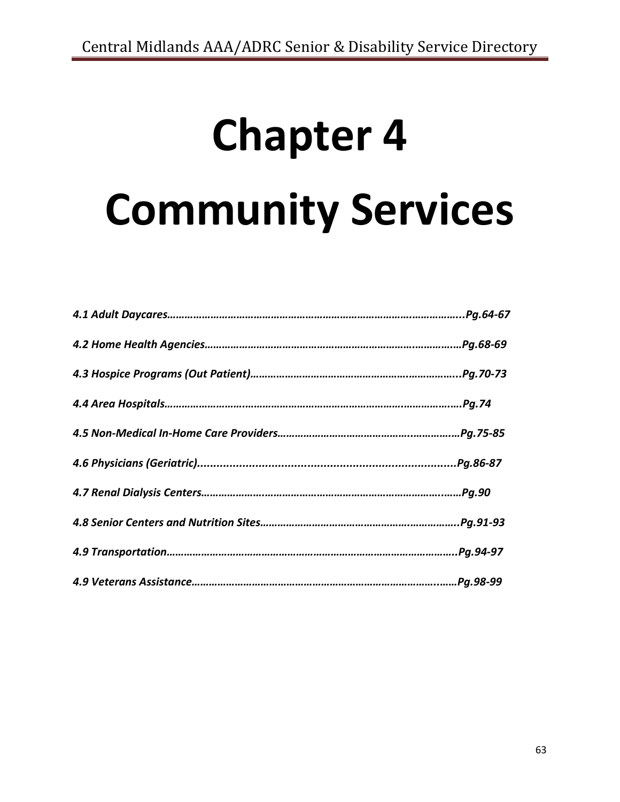# **Chapter 4 Community Services**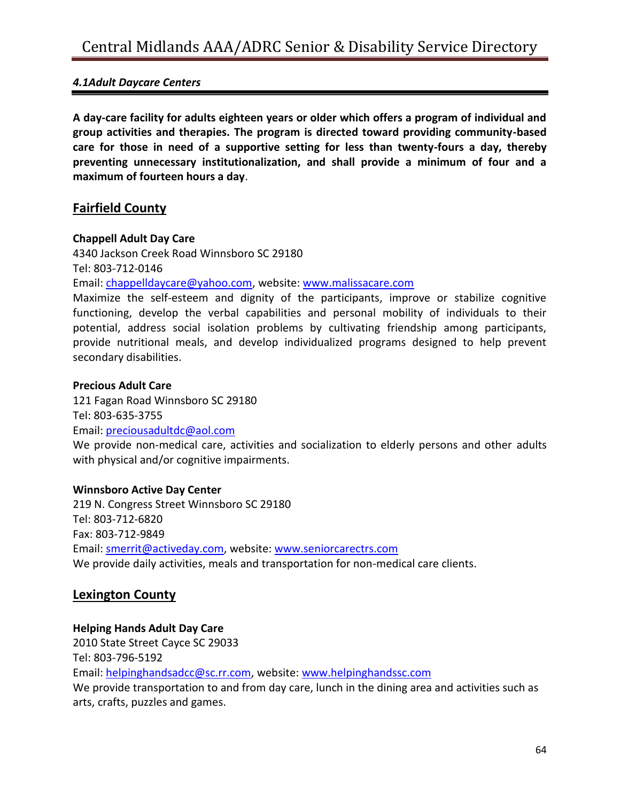#### *4.1Adult Daycare Centers*

**A day-care facility for adults eighteen years or older which offers a program of individual and group activities and therapies. The program is directed toward providing community-based care for those in need of a supportive setting for less than twenty-fours a day, thereby preventing unnecessary institutionalization, and shall provide a minimum of four and a maximum of fourteen hours a day**.

#### **Fairfield County**

#### **Chappell Adult Day Care**

4340 Jackson Creek Road Winnsboro SC 29180 Tel: 803-712-0146

Email: [chappelldaycare@yahoo.com,](mailto:chappelldaycare@yahoo.com) website: [www.malissacare.com](http://www.malissacare.com/)

Maximize the self-esteem and dignity of the participants, improve or stabilize cognitive functioning, develop the verbal capabilities and personal mobility of individuals to their potential, address social isolation problems by cultivating friendship among participants, provide nutritional meals, and develop individualized programs designed to help prevent secondary disabilities.

#### **Precious Adult Care**

121 Fagan Road Winnsboro SC 29180 Tel: 803-635-3755 Email: [preciousadultdc@aol.com](mailto:preciousadultdc@aol.com)

We provide non-medical care, activities and socialization to elderly persons and other adults with physical and/or cognitive impairments.

#### **Winnsboro Active Day Center**

219 N. Congress Street Winnsboro SC 29180 Tel: 803-712-6820 Fax: 803-712-9849 Email: [smerrit@activeday.com,](mailto:smerrit@activeday.com) website: [www.seniorcarectrs.com](http://www.seniorcarectrs.com/) We provide daily activities, meals and transportation for non-medical care clients.

#### **Lexington County**

#### **Helping Hands Adult Day Care**

2010 State Street Cayce SC 29033 Tel: 803-796-5192 Email: [helpinghandsadcc@sc.rr.com,](mailto:helpinghandsadcc@sc.rr.com) website: [www.helpinghandssc.com](http://www.helpinghandssc.com/) We provide transportation to and from day care, lunch in the dining area and activities such as arts, crafts, puzzles and games.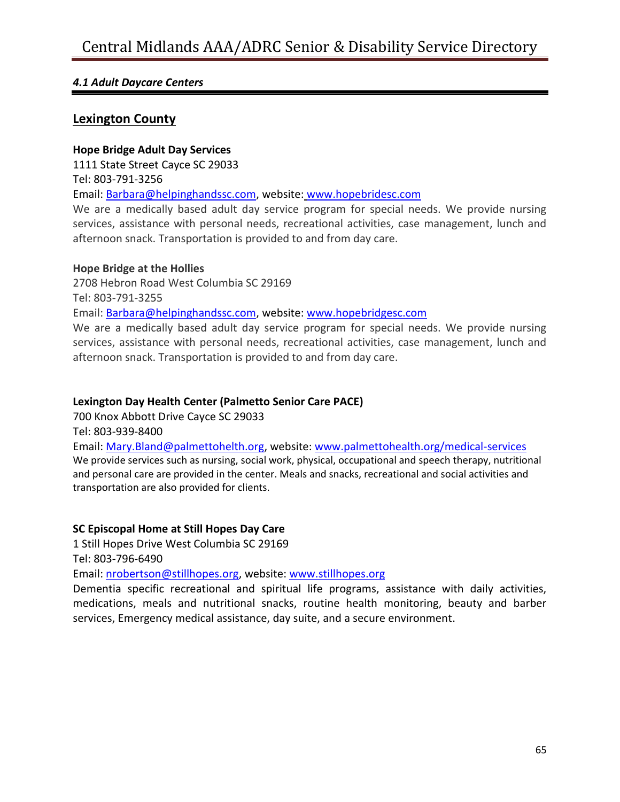#### *4.1 Adult Daycare Centers*

#### **Lexington County**

#### **Hope Bridge Adult Day Services**

1111 State Street Cayce SC 29033

Tel: 803-791-3256

Email: [Barbara@helpinghandssc.com,](mailto:Barbara@helpinghandssc.com) website: [www.hopebridesc.com](http://www.hopebridesc.com/)

We are a medically based adult day service program for special needs. We provide nursing services, assistance with personal needs, recreational activities, case management, lunch and afternoon snack. Transportation is provided to and from day care.

#### **Hope Bridge at the Hollies**

2708 Hebron Road West Columbia SC 29169

Tel: 803-791-3255

Email: [Barbara@helpinghandssc.com,](mailto:Barbara@helpinghandssc.com) website: [www.hopebridgesc.com](http://www.hopebridgesc.com/)

We are a medically based adult day service program for special needs. We provide nursing services, assistance with personal needs, recreational activities, case management, lunch and afternoon snack. Transportation is provided to and from day care.

#### **Lexington Day Health Center (Palmetto Senior Care PACE)**

700 Knox Abbott Drive Cayce SC 29033

Tel: 803-939-8400

Email: [Mary.Bland@palmettohelth.org,](mailto:Mary.Bland@palmettohelth.org) website: [www.palmettohealth.org/medical-services](http://www.palmettohealth.org/medical-services) We provide services such as nursing, social work, physical, occupational and speech therapy, nutritional and personal care are provided in the center. Meals and snacks, recreational and social activities and transportation are also provided for clients.

#### **SC Episcopal Home at Still Hopes Day Care**

1 Still Hopes Drive West Columbia SC 29169

Tel: 803-796-6490

Email: [nrobertson@stillhopes.org,](mailto:nrobertson@stillhopes.org) website[: www.stillhopes.org](http://www.stillhopes.org/)

Dementia specific recreational and spiritual life programs, assistance with daily activities, medications, meals and nutritional snacks, routine health monitoring, beauty and barber services, Emergency medical assistance, day suite, and a secure environment.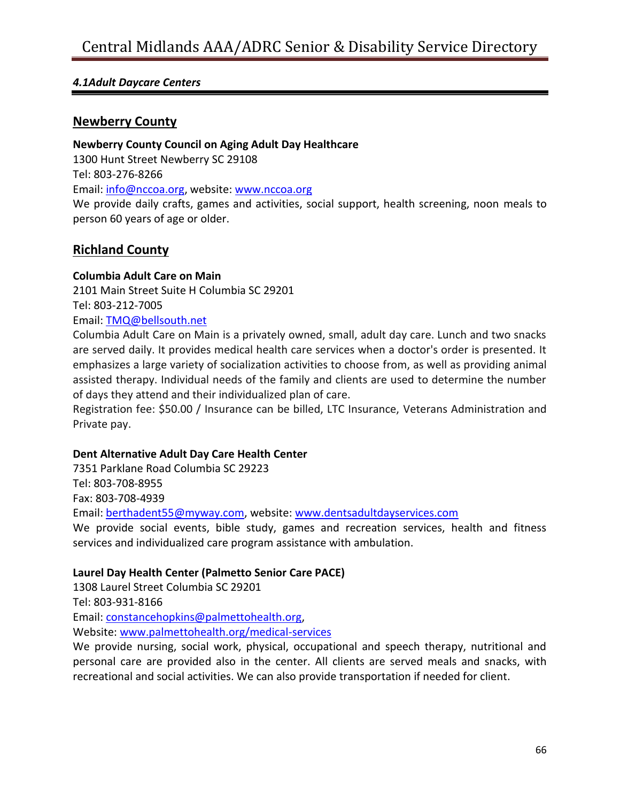#### *4.1Adult Daycare Centers*

#### **Newberry County**

#### **Newberry County Council on Aging Adult Day Healthcare**

1300 Hunt Street Newberry SC 29108 Tel: 803-276-8266 Email: [info@nccoa.org,](mailto:info@nccoa.org) website: [www.nccoa.org](http://www.nccoa.org/) We provide daily crafts, games and activities, social support, health screening, noon meals to person 60 years of age or older.

#### **Richland County**

#### **Columbia Adult Care on Main**

2101 Main Street Suite H Columbia SC 29201

Tel: 803-212-7005

#### Email: [TMQ@bellsouth.net](mailto:TMQ@bellsouth.net)

Columbia Adult Care on Main is a privately owned, small, adult day care. Lunch and two snacks are served daily. It provides medical health care services when a doctor's order is presented. It emphasizes a large variety of socialization activities to choose from, as well as providing animal assisted therapy. Individual needs of the family and clients are used to determine the number of days they attend and their individualized plan of care.

Registration fee: \$50.00 / Insurance can be billed, LTC Insurance, Veterans Administration and Private pay.

#### **Dent Alternative Adult Day Care Health Center**

7351 Parklane Road Columbia SC 29223 Tel: 803-708-8955 Fax: 803-708-4939 Email: [berthadent55@myway.com,](mailto:berthadent55@myway.com) website: [www.dentsadultdayservices.com](http://www.dentsadultdayservices.com/)

We provide social events, bible study, games and recreation services, health and fitness services and individualized care program assistance with ambulation.

#### **Laurel Day Health Center (Palmetto Senior Care PACE)**

1308 Laurel Street Columbia SC 29201

Tel: 803-931-8166

Email: [constancehopkins@palmettohealth.org,](mailto:constancehopkins@palmettohealth.org)

Website: [www.palmettohealth.org/medical-services](http://www.palmettohealth.org/medical-services)

We provide nursing, social work, physical, occupational and speech therapy, nutritional and personal care are provided also in the center. All clients are served meals and snacks, with recreational and social activities. We can also provide transportation if needed for client.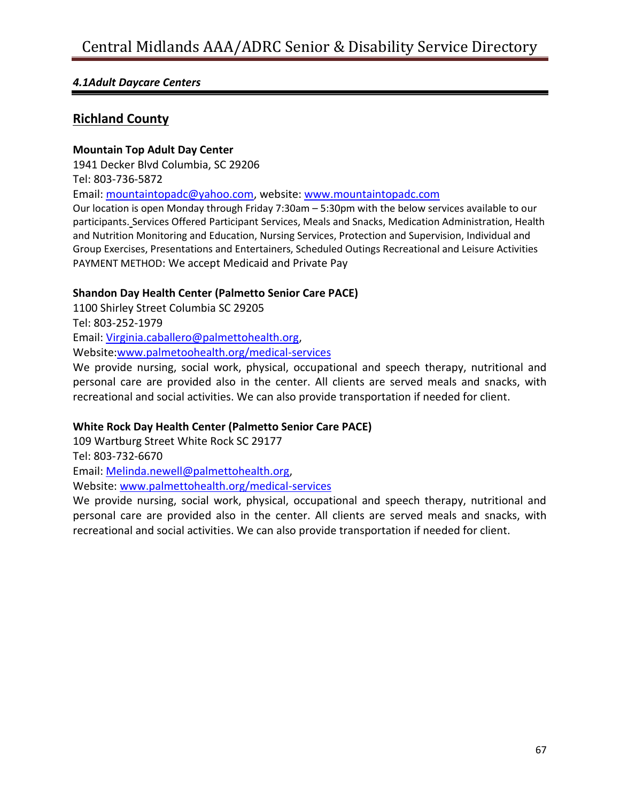#### *4.1Adult Daycare Centers*

#### **Richland County**

#### **Mountain Top Adult Day Center**

1941 Decker Blvd Columbia, SC 29206

Tel: 803-736-5872

Email: [mountaintopadc@yahoo.com,](mailto:mountaintopadc@yahoo.com) website: [www.mountaintopadc.com](http://www.mountaintopadc.com/)

Our location is open Monday through Friday 7:30am – 5:30pm with the below services available to our participants. Services Offered Participant Services, Meals and Snacks, Medication Administration, Health and Nutrition Monitoring and Education, Nursing Services, Protection and Supervision, Individual and Group Exercises, Presentations and Entertainers, Scheduled Outings Recreational and Leisure Activities PAYMENT METHOD: We accept Medicaid and Private Pay

#### **Shandon Day Health Center (Palmetto Senior Care PACE)**

1100 Shirley Street Columbia SC 29205 Tel: 803-252-1979 Email: [Virginia.caballero@palmettohealth.org,](mailto:Virginia.caballero@palmettohealth.org) Website[:www.palmetoohealth.org/medical-services](http://www.palmetoohealth.org/medical-services)

We provide nursing, social work, physical, occupational and speech therapy, nutritional and personal care are provided also in the center. All clients are served meals and snacks, with recreational and social activities. We can also provide transportation if needed for client.

#### **White Rock Day Health Center (Palmetto Senior Care PACE)**

109 Wartburg Street White Rock SC 29177 Tel: 803-732-6670 Email: [Melinda.newell@palmettohealth.org,](mailto:Melinda.newell@palmettohealth.org) Website: [www.palmettohealth.org/medical-services](http://www.palmettohealth.org/medical-services)

We provide nursing, social work, physical, occupational and speech therapy, nutritional and personal care are provided also in the center. All clients are served meals and snacks, with recreational and social activities. We can also provide transportation if needed for client.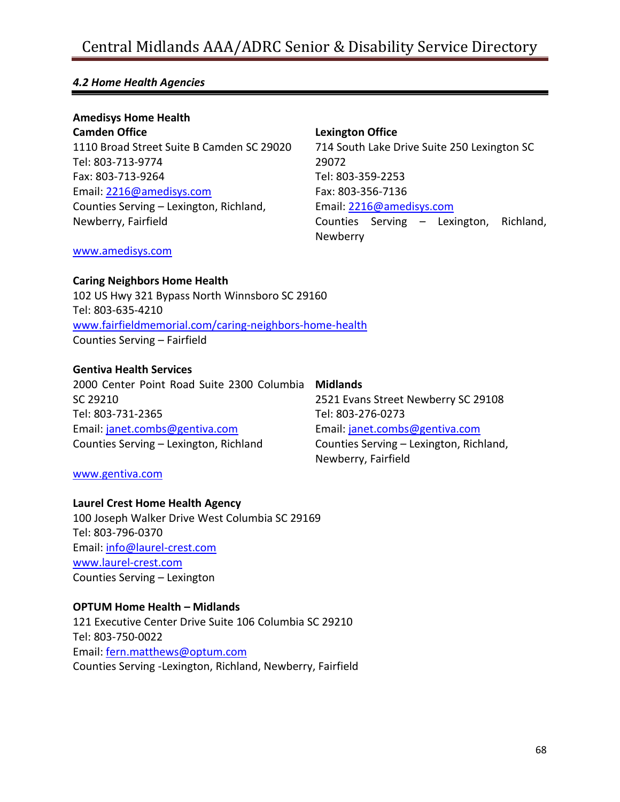#### *4.2 Home Health Agencies*

**Amedisys Home Health Camden Office** 1110 Broad Street Suite B Camden SC 29020 Tel: 803-713-9774 Fax: 803-713-9264 Email: [2216@amedisys.com](mailto:2216@amedisys.com) Counties Serving – Lexington, Richland, Newberry, Fairfield

#### **Lexington Office**

714 South Lake Drive Suite 250 Lexington SC 29072 Tel: 803-359-2253 Fax: 803-356-7136 Email: [2216@amedisys.com](mailto:2216@amedisys.com) Counties Serving – Lexington, Richland, Newberry

#### [www.amedisys.com](http://www.amedisys.com/)

**Caring Neighbors Home Health**

102 US Hwy 321 Bypass North Winnsboro SC 29160 Tel: 803-635-4210 [www.fairfieldmemorial.com/caring-neighbors-home-health](http://www.fairfieldmemorial.com/caring-neighbors-home-health) Counties Serving – Fairfield

#### **Gentiva Health Services**

2000 Center Point Road Suite 2300 Columbia **Midlands** SC 29210 Tel: 803-731-2365 Email: [janet.combs@gentiva.com](mailto:janet.combs@gentiva.com) Counties Serving – Lexington, Richland

## [www.gentiva.com](http://www.gentiva.com/)

#### **Laurel Crest Home Health Agency**

100 Joseph Walker Drive West Columbia SC 29169 Tel: 803-796-0370 Email: [info@laurel-crest.com](mailto:info@laurel-crest.com) [www.laurel-crest.com](http://www.laurel-crest.com/) Counties Serving – Lexington

#### **OPTUM Home Health – Midlands**

121 Executive Center Drive Suite 106 Columbia SC 29210 Tel: 803-750-0022 Email: [fern.matthews@optum.com](mailto:fern.matthews@optum.com) Counties Serving -Lexington, Richland, Newberry, Fairfield

2521 Evans Street Newberry SC 29108 Tel: 803-276-0273 Email: [janet.combs@gentiva.com](mailto:janet.combs@gentiva.com) Counties Serving – Lexington, Richland, Newberry, Fairfield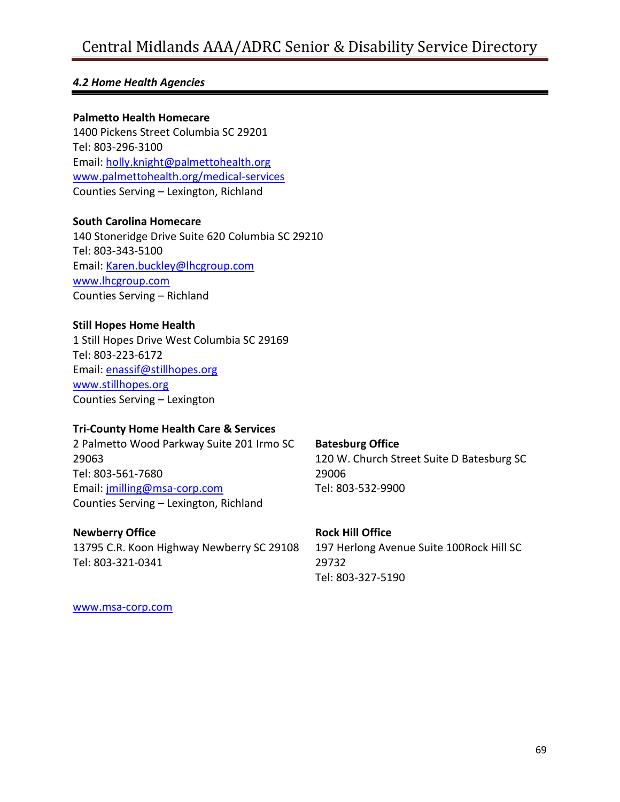#### *4.2 Home Health Agencies*

#### **Palmetto Health Homecare**

1400 Pickens Street Columbia SC 29201 Tel: 803-296-3100 Email: [holly.knight@palmettohealth.org](mailto:holly.knight@palmettohealth.org) [www.palmettohealth.org/medical-services](http://www.palmettohealth.org/medical-services) Counties Serving – Lexington, Richland

#### **South Carolina Homecare**

140 Stoneridge Drive Suite 620 Columbia SC 29210 Tel: 803-343-5100 Email: [Karen.buckley@lhcgroup.com](mailto:Karen.buckley@lhcgroup.com) [www.lhcgroup.com](http://www.lhcgroup.com/) Counties Serving – Richland

#### **Still Hopes Home Health**

1 Still Hopes Drive West Columbia SC 29169 Tel: 803-223-6172 Email: [enassif@stillhopes.org](mailto:enassif@stillhopes.org) [www.stillhopes.org](http://www.stillhopes.org/) Counties Serving – Lexington

#### **Tri-County Home Health Care & Services**

2 Palmetto Wood Parkway Suite 201 Irmo SC 29063 Tel: 803-561-7680 Email: [jmilling@msa-corp.com](mailto:jmilling@msa-corp.com) Counties Serving – Lexington, Richland

#### **Newberry Office**

13795 C.R. Koon Highway Newberry SC 29108 Tel: 803-321-0341

#### **Batesburg Office**

120 W. Church Street Suite D Batesburg SC 29006 Tel: 803-532-9900

#### **Rock Hill Office**

197 Herlong Avenue Suite 100Rock Hill SC 29732 Tel: 803-327-5190

[www.msa-corp.com](http://www.msa-corp.com/)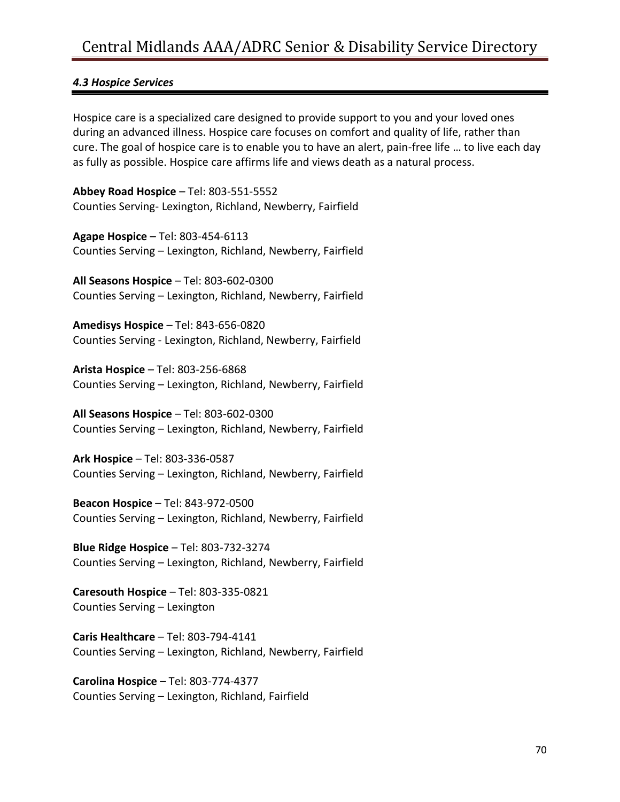#### *4.3 Hospice Services*

Hospice care is a specialized care designed to provide support to you and your loved ones during an advanced illness. Hospice care focuses on comfort and quality of life, rather than cure. The goal of hospice care is to enable you to have an alert, pain-free life … to live each day as fully as possible. Hospice care affirms life and views death as a natural process.

**Abbey Road Hospice** – Tel: 803-551-5552 Counties Serving- Lexington, Richland, Newberry, Fairfield

**Agape Hospice** – Tel: 803-454-6113 Counties Serving – Lexington, Richland, Newberry, Fairfield

**All Seasons Hospice** – Tel: 803-602-0300 Counties Serving – Lexington, Richland, Newberry, Fairfield

**Amedisys Hospice** – Tel: 843-656-0820 Counties Serving - Lexington, Richland, Newberry, Fairfield

**Arista Hospice** – Tel: 803-256-6868 Counties Serving – Lexington, Richland, Newberry, Fairfield

**All Seasons Hospice** – Tel: 803-602-0300 Counties Serving – Lexington, Richland, Newberry, Fairfield

**Ark Hospice** – Tel: 803-336-0587 Counties Serving – Lexington, Richland, Newberry, Fairfield

**Beacon Hospice** – Tel: 843-972-0500 Counties Serving – Lexington, Richland, Newberry, Fairfield

**Blue Ridge Hospice** – Tel: 803-732-3274 Counties Serving – Lexington, Richland, Newberry, Fairfield

**Caresouth Hospice** – Tel: 803-335-0821 Counties Serving – Lexington

**Caris Healthcare** – Tel: 803-794-4141 Counties Serving – Lexington, Richland, Newberry, Fairfield

**Carolina Hospice** – Tel: 803-774-4377 Counties Serving – Lexington, Richland, Fairfield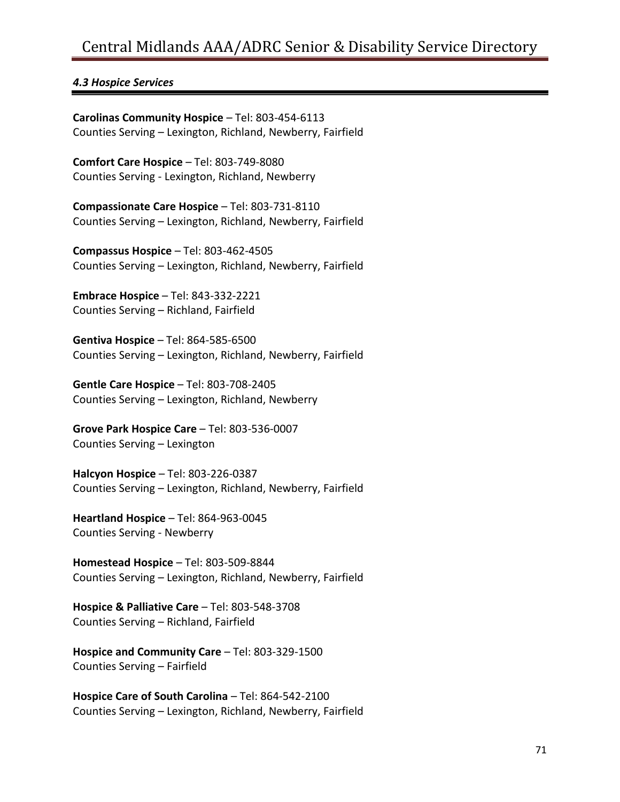#### *4.3 Hospice Services*

**Carolinas Community Hospice** – Tel: 803-454-6113 Counties Serving – Lexington, Richland, Newberry, Fairfield

**Comfort Care Hospice** – Tel: 803-749-8080 Counties Serving - Lexington, Richland, Newberry

**Compassionate Care Hospice** – Tel: 803-731-8110 Counties Serving – Lexington, Richland, Newberry, Fairfield

**Compassus Hospice** – Tel: 803-462-4505 Counties Serving – Lexington, Richland, Newberry, Fairfield

**Embrace Hospice** – Tel: 843-332-2221 Counties Serving – Richland, Fairfield

**Gentiva Hospice** – Tel: 864-585-6500 Counties Serving – Lexington, Richland, Newberry, Fairfield

**Gentle Care Hospice** – Tel: 803-708-2405 Counties Serving – Lexington, Richland, Newberry

**Grove Park Hospice Care** – Tel: 803-536-0007 Counties Serving – Lexington

**Halcyon Hospice** – Tel: 803-226-0387 Counties Serving – Lexington, Richland, Newberry, Fairfield

**Heartland Hospice** – Tel: 864-963-0045 Counties Serving - Newberry

**Homestead Hospice** – Tel: 803-509-8844 Counties Serving – Lexington, Richland, Newberry, Fairfield

**Hospice & Palliative Care** – Tel: 803-548-3708 Counties Serving – Richland, Fairfield

**Hospice and Community Care** – Tel: 803-329-1500 Counties Serving – Fairfield

**Hospice Care of South Carolina** – Tel: 864-542-2100 Counties Serving – Lexington, Richland, Newberry, Fairfield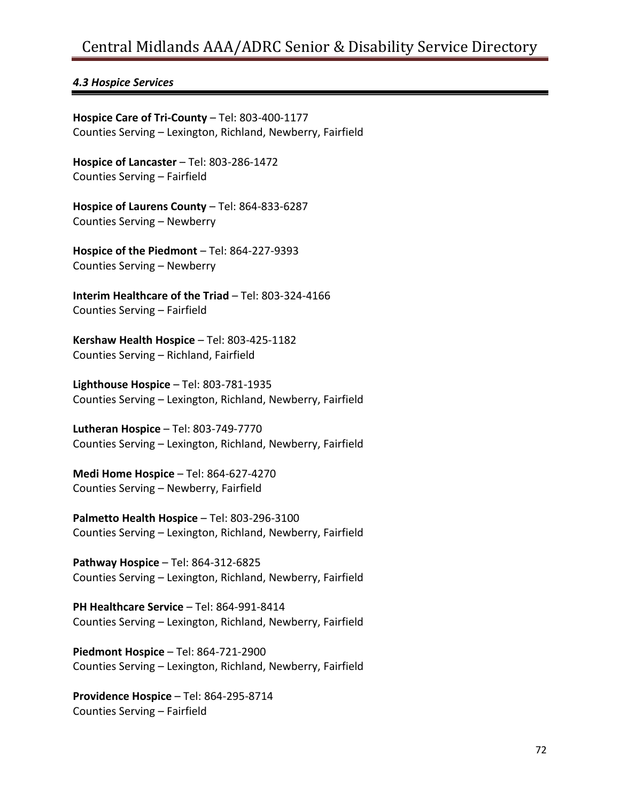#### *4.3 Hospice Services*

**Hospice Care of Tri-County** – Tel: 803-400-1177 Counties Serving – Lexington, Richland, Newberry, Fairfield

**Hospice of Lancaster** – Tel: 803-286-1472 Counties Serving – Fairfield

**Hospice of Laurens County** – Tel: 864-833-6287 Counties Serving – Newberry

**Hospice of the Piedmont** – Tel: 864-227-9393 Counties Serving – Newberry

**Interim Healthcare of the Triad** – Tel: 803-324-4166 Counties Serving – Fairfield

**Kershaw Health Hospice** – Tel: 803-425-1182 Counties Serving – Richland, Fairfield

**Lighthouse Hospice** – Tel: 803-781-1935 Counties Serving – Lexington, Richland, Newberry, Fairfield

**Lutheran Hospice** – Tel: 803-749-7770 Counties Serving – Lexington, Richland, Newberry, Fairfield

**Medi Home Hospice** – Tel: 864-627-4270 Counties Serving – Newberry, Fairfield

**Palmetto Health Hospice** – Tel: 803-296-3100 Counties Serving – Lexington, Richland, Newberry, Fairfield

**Pathway Hospice** – Tel: 864-312-6825 Counties Serving – Lexington, Richland, Newberry, Fairfield

**PH Healthcare Service** – Tel: 864-991-8414 Counties Serving – Lexington, Richland, Newberry, Fairfield

**Piedmont Hospice** – Tel: 864-721-2900 Counties Serving – Lexington, Richland, Newberry, Fairfield

**Providence Hospice** – Tel: 864-295-8714 Counties Serving – Fairfield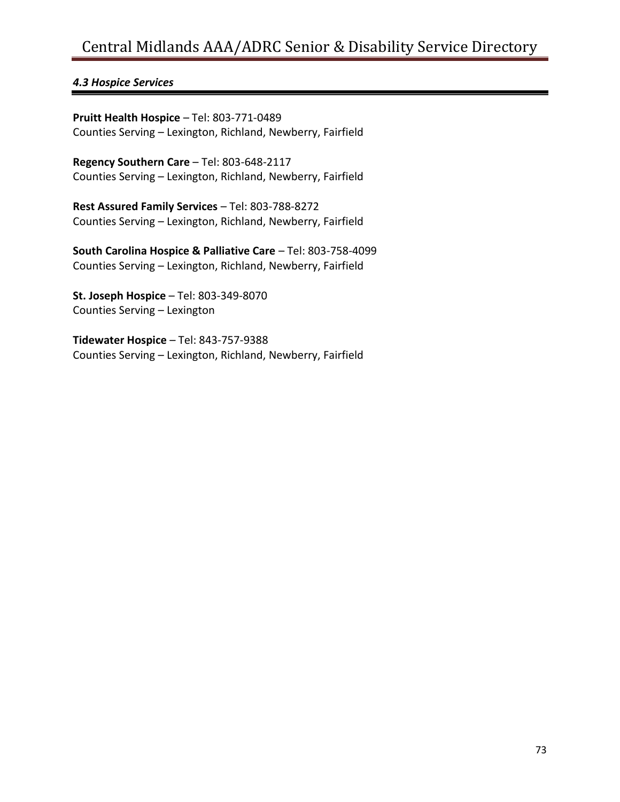#### *4.3 Hospice Services*

**Pruitt Health Hospice** – Tel: 803-771-0489 Counties Serving – Lexington, Richland, Newberry, Fairfield

**Regency Southern Care** – Tel: 803-648-2117 Counties Serving – Lexington, Richland, Newberry, Fairfield

**Rest Assured Family Services** – Tel: 803-788-8272 Counties Serving – Lexington, Richland, Newberry, Fairfield

**South Carolina Hospice & Palliative Care** – Tel: 803-758-4099 Counties Serving – Lexington, Richland, Newberry, Fairfield

**St. Joseph Hospice** – Tel: 803-349-8070 Counties Serving – Lexington

**Tidewater Hospice** – Tel: 843-757-9388 Counties Serving – Lexington, Richland, Newberry, Fairfield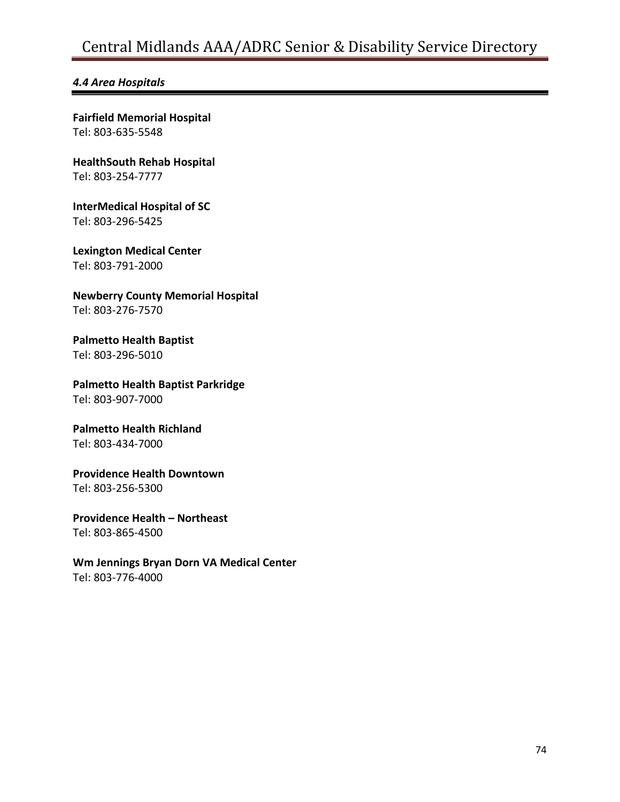#### *4.4 Area Hospitals*

**Fairfield Memorial Hospital** Tel: 803-635-5548

**HealthSouth Rehab Hospital** Tel: 803-254-7777

## **InterMedical Hospital of SC**

Tel: 803-296-5425

**Lexington Medical Center** Tel: 803-791-2000

**Newberry County Memorial Hospital** Tel: 803-276-7570

**Palmetto Health Baptist** Tel: 803-296-5010

**Palmetto Health Baptist Parkridge**

Tel: 803-907-7000

#### **Palmetto Health Richland**  Tel: 803-434-7000

**Providence Health Downtown** Tel: 803-256-5300

**Providence Health – Northeast** Tel: 803-865-4500

**Wm Jennings Bryan Dorn VA Medical Center** Tel: 803-776-4000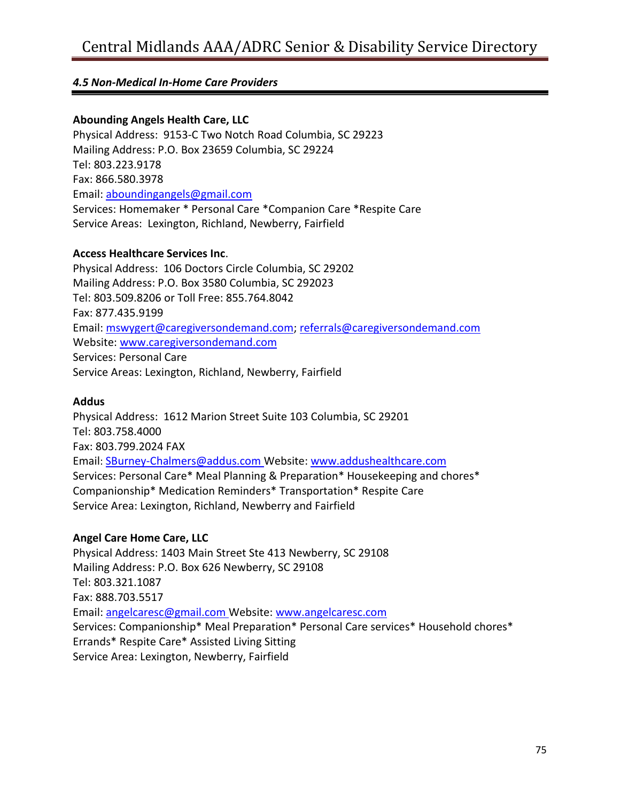#### **Abounding Angels Health Care, LLC**

Physical Address: 9153-C Two Notch Road Columbia, SC 29223 Mailing Address: P.O. Box 23659 Columbia, SC 29224 Tel: 803.223.9178 Fax: 866.580.3978 Email: [aboundingangels@gmail.com](mailto:aboundingangels@gmail.com) Services: Homemaker \* Personal Care \*Companion Care \*Respite Care Service Areas: Lexington, Richland, Newberry, Fairfield

#### **Access Healthcare Services Inc**.

Physical Address: 106 Doctors Circle Columbia, SC 29202 Mailing Address: P.O. Box 3580 Columbia, SC 292023 Tel: 803.509.8206 or Toll Free: 855.764.8042 Fax: 877.435.9199 Email: [mswygert@caregiversondemand.com;](mailto:mswygert@caregiversondemand.com) [referrals@caregiversondemand.com](mailto:referrals@caregiversondemand.com) Website: [www.caregiversondemand.com](http://www.caregiversondemand.com/) Services: Personal Care Service Areas: Lexington, Richland, Newberry, Fairfield

#### **Addus**

Physical Address: 1612 Marion Street Suite 103 Columbia, SC 29201 Tel: 803.758.4000 Fax: 803.799.2024 FAX Email: [SBurney-Chalmers@addus.com](mailto:SBurney-Chalmers@addus.com) Website: [www.addushealthcare.com](http://www.addushealthcare.com/) Services: Personal Care\* Meal Planning & Preparation\* Housekeeping and chores\* Companionship\* Medication Reminders\* Transportation\* Respite Care Service Area: Lexington, Richland, Newberry and Fairfield

#### **Angel Care Home Care, LLC**

Physical Address: 1403 Main Street Ste 413 Newberry, SC 29108 Mailing Address: P.O. Box 626 Newberry, SC 29108 Tel: 803.321.1087 Fax: 888.703.5517 Email: [angelcaresc@gmail.com](mailto:angelcaresc@gmail.com) Website: [www.angelcaresc.com](http://www.angelcaresc.com/) Services: Companionship\* Meal Preparation\* Personal Care services\* Household chores\* Errands\* Respite Care\* Assisted Living Sitting Service Area: Lexington, Newberry, Fairfield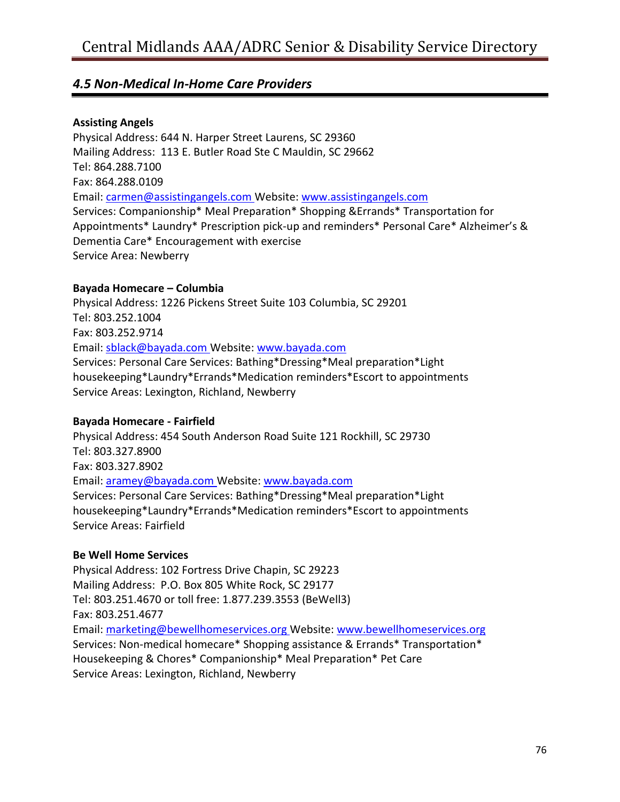#### **Assisting Angels**

Physical Address: 644 N. Harper Street Laurens, SC 29360 Mailing Address: 113 E. Butler Road Ste C Mauldin, SC 29662 Tel: 864.288.7100 Fax: 864.288.0109 Email: [carmen@assistingangels.com](mailto:carmen@assistingangels.com) Website[: www.assistingangels.com](http://www.assistingangels.com/) Services: Companionship\* Meal Preparation\* Shopping &Errands\* Transportation for Appointments\* Laundry\* Prescription pick-up and reminders\* Personal Care\* Alzheimer's & Dementia Care\* Encouragement with exercise Service Area: Newberry

#### **Bayada Homecare – Columbia**

Physical Address: 1226 Pickens Street Suite 103 Columbia, SC 29201 Tel: 803.252.1004 Fax: 803.252.9714 Email: [sblack@bayada.com](mailto:sblack@bayada.com) Website[: www.bayada.com](http://www.bayada.com/) Services: Personal Care Services: Bathing\*Dressing\*Meal preparation\*Light housekeeping\*Laundry\*Errands\*Medication reminders\*Escort to appointments Service Areas: Lexington, Richland, Newberry

#### **Bayada Homecare - Fairfield**

Physical Address: 454 South Anderson Road Suite 121 Rockhill, SC 29730 Tel: 803.327.8900 Fax: 803.327.8902 Email: [aramey@bayada.com](mailto:aramey@bayada.com) Website: [www.bayada.com](http://www.bayada.com/) Services: Personal Care Services: Bathing\*Dressing\*Meal preparation\*Light housekeeping\*Laundry\*Errands\*Medication reminders\*Escort to appointments Service Areas: Fairfield

#### **Be Well Home Services**

Physical Address: 102 Fortress Drive Chapin, SC 29223 Mailing Address: P.O. Box 805 White Rock, SC 29177 Tel: 803.251.4670 or toll free: 1.877.239.3553 (BeWell3) Fax: 803.251.4677 Email: [marketing@bewellhomeservices.org](mailto:marketing@bewellhomeservices.org) Website: [www.bewellhomeservices.org](http://www.bewellhomeservices.org/) Services: Non-medical homecare\* Shopping assistance & Errands\* Transportation\* Housekeeping & Chores\* Companionship\* Meal Preparation\* Pet Care Service Areas: Lexington, Richland, Newberry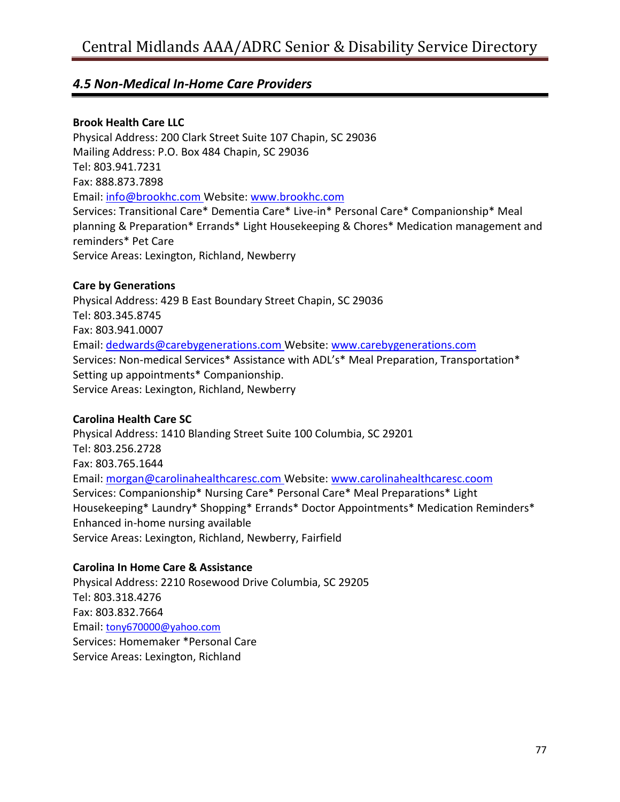#### **Brook Health Care LLC**

Physical Address: 200 Clark Street Suite 107 Chapin, SC 29036 Mailing Address: P.O. Box 484 Chapin, SC 29036 Tel: 803.941.7231 Fax: 888.873.7898 Email: [info@brookhc.com](mailto:info@brookhc.com) Website: [www.brookhc.com](http://www.brookhc.com/) Services: Transitional Care\* Dementia Care\* Live-in\* Personal Care\* Companionship\* Meal planning & Preparation\* Errands\* Light Housekeeping & Chores\* Medication management and reminders\* Pet Care Service Areas: Lexington, Richland, Newberry

#### **Care by Generations**

Physical Address: 429 B East Boundary Street Chapin, SC 29036 Tel: 803.345.8745 Fax: 803.941.0007 Email: [dedwards@carebygenerations.com](mailto:dedwards@carebygenerations.com) Website: [www.carebygenerations.com](http://www.carebygenerations.com/) Services: Non-medical Services\* Assistance with ADL's\* Meal Preparation, Transportation\* Setting up appointments\* Companionship. Service Areas: Lexington, Richland, Newberry

#### **Carolina Health Care SC**

Physical Address: 1410 Blanding Street Suite 100 Columbia, SC 29201 Tel: 803.256.2728 Fax: 803.765.1644 Email: [morgan@carolinahealthcaresc.com](mailto:morgan@carolinahealthcaresc.com) Website: [www.carolinahealthcaresc.coom](http://www.carolinahealthcaresc.coom/) Services: Companionship\* Nursing Care\* Personal Care\* Meal Preparations\* Light Housekeeping\* Laundry\* Shopping\* Errands\* Doctor Appointments\* Medication Reminders\* Enhanced in-home nursing available Service Areas: Lexington, Richland, Newberry, Fairfield

#### **Carolina In Home Care & Assistance**

Physical Address: 2210 Rosewood Drive Columbia, SC 29205 Tel: 803.318.4276 Fax: 803.832.7664 Email: [tony670000@yahoo.com](mailto:tony670000@yahoo.com) Services: Homemaker \*Personal Care Service Areas: Lexington, Richland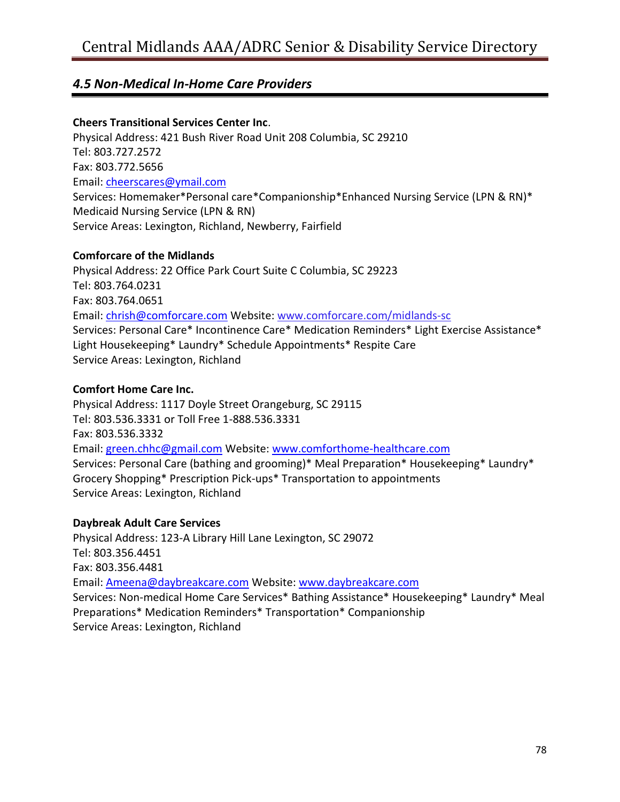#### **Cheers Transitional Services Center Inc**.

Physical Address: 421 Bush River Road Unit 208 Columbia, SC 29210 Tel: 803.727.2572 Fax: 803.772.5656 Email: [cheerscares@ymail.com](mailto:cheerscares@ymail.com) Services: Homemaker\*Personal care\*Companionship\*Enhanced Nursing Service (LPN & RN)\* Medicaid Nursing Service (LPN & RN) Service Areas: Lexington, Richland, Newberry, Fairfield

#### **Comforcare of the Midlands**

Physical Address: 22 Office Park Court Suite C Columbia, SC 29223 Tel: 803.764.0231 Fax: 803.764.0651 Email: [chrish@comforcare.com](mailto:chrish@comforcare.com) Website: [www.comforcare.com/midlands-sc](http://www.comforcare.com/midlands-sc) Services: Personal Care\* Incontinence Care\* Medication Reminders\* Light Exercise Assistance\* Light Housekeeping\* Laundry\* Schedule Appointments\* Respite Care Service Areas: Lexington, Richland

#### **Comfort Home Care Inc.**

Physical Address: 1117 Doyle Street Orangeburg, SC 29115 Tel: 803.536.3331 or Toll Free 1-888.536.3331 Fax: 803.536.3332 Email: [green.chhc@gmail.com](mailto:green.chhc@gmail.com) Website[: www.comforthome-healthcare.com](http://www.comforthome-healthcare.com/) Services: Personal Care (bathing and grooming)\* Meal Preparation\* Housekeeping\* Laundry\* Grocery Shopping\* Prescription Pick-ups\* Transportation to appointments Service Areas: Lexington, Richland

#### **Daybreak Adult Care Services**

Physical Address: 123-A Library Hill Lane Lexington, SC 29072 Tel: 803.356.4451 Fax: 803.356.4481 Email: [Ameena@daybreakcare.com](mailto:Ameena@daybreakcare.com) Website: [www.daybreakcare.com](http://www.daybreakcare.com/) Services: Non-medical Home Care Services\* Bathing Assistance\* Housekeeping\* Laundry\* Meal Preparations\* Medication Reminders\* Transportation\* Companionship Service Areas: Lexington, Richland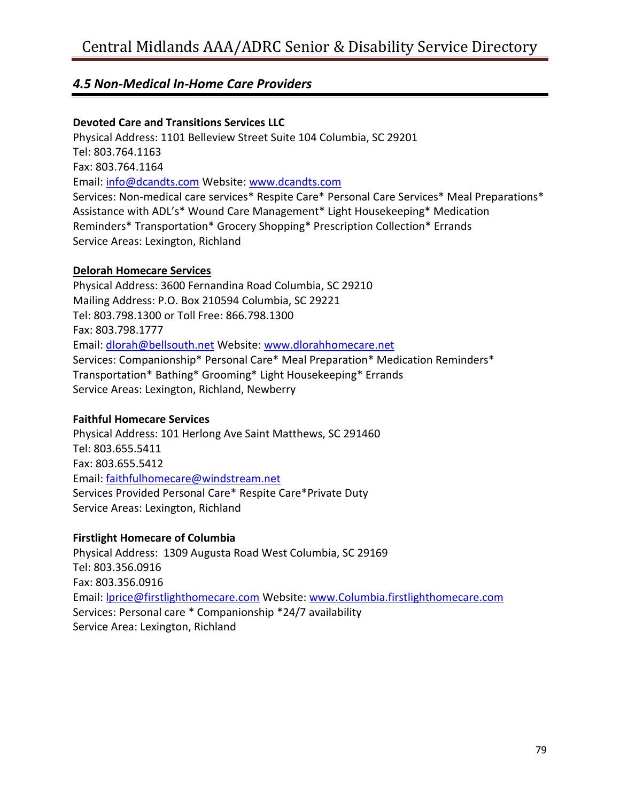#### **Devoted Care and Transitions Services LLC**

Physical Address: 1101 Belleview Street Suite 104 Columbia, SC 29201 Tel: 803.764.1163 Fax: 803.764.1164 Email: [info@dcandts.com](mailto:info@dcandts.com) Website: [www.dcandts.com](http://www.dcandts.com/) Services: Non-medical care services\* Respite Care\* Personal Care Services\* Meal Preparations\* Assistance with ADL's\* Wound Care Management\* Light Housekeeping\* Medication Reminders\* Transportation\* Grocery Shopping\* Prescription Collection\* Errands Service Areas: Lexington, Richland

#### **Delorah Homecare Services**

Physical Address: 3600 Fernandina Road Columbia, SC 29210 Mailing Address: P.O. Box 210594 Columbia, SC 29221 Tel: 803.798.1300 or Toll Free: 866.798.1300 Fax: 803.798.1777 Email: [dlorah@bellsouth.net](mailto:dlorah@bellsouth.net) Website: [www.dlorahhomecare.net](http://www.dlorahhomecare.net/) Services: Companionship\* Personal Care\* Meal Preparation\* Medication Reminders\* Transportation\* Bathing\* Grooming\* Light Housekeeping\* Errands Service Areas: Lexington, Richland, Newberry

#### **Faithful Homecare Services**

Physical Address: 101 Herlong Ave Saint Matthews, SC 291460 Tel: 803.655.5411 Fax: 803.655.5412 Email: [faithfulhomecare@windstream.net](mailto:faithfulhomecare@windstream.net) Services Provided Personal Care\* Respite Care\*Private Duty Service Areas: Lexington, Richland

#### **Firstlight Homecare of Columbia**

Physical Address: 1309 Augusta Road West Columbia, SC 29169 Tel: 803.356.0916 Fax: 803.356.0916 Email: [lprice@firstlighthomecare.com](mailto:lprice@firstlighthomecare.com) Website: [www.Columbia.firstlighthomecare.com](http://www.columbia.firstlighthomecare.com/) Services: Personal care \* Companionship \*24/7 availability Service Area: Lexington, Richland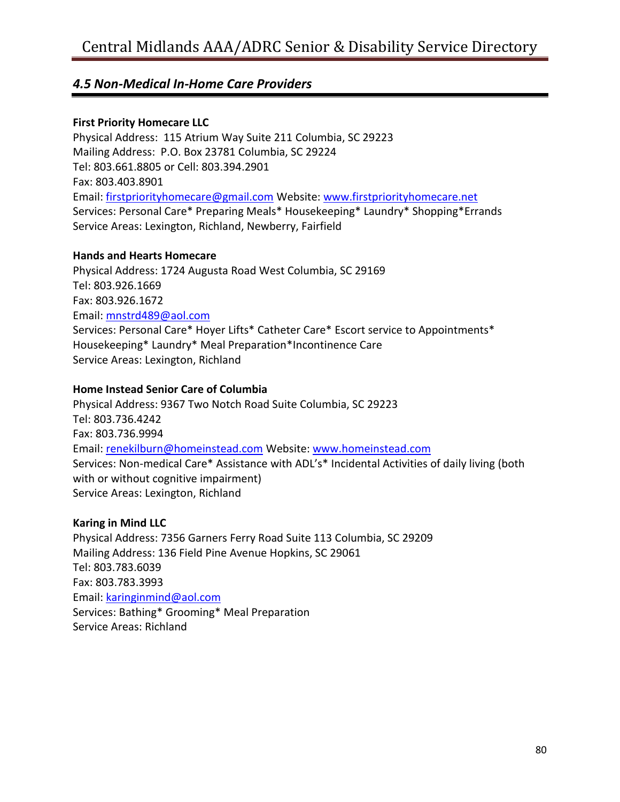#### **First Priority Homecare LLC**

Physical Address: 115 Atrium Way Suite 211 Columbia, SC 29223 Mailing Address: P.O. Box 23781 Columbia, SC 29224 Tel: 803.661.8805 or Cell: 803.394.2901 Fax: 803.403.8901 Email: [firstpriorityhomecare@gmail.com](mailto:firstpriorityhomecare@gmail.com) Website: [www.firstpriorityhomecare.net](http://www.firstpriorityhomecare.net/) Services: Personal Care\* Preparing Meals\* Housekeeping\* Laundry\* Shopping\*Errands Service Areas: Lexington, Richland, Newberry, Fairfield

#### **Hands and Hearts Homecare**

Physical Address: 1724 Augusta Road West Columbia, SC 29169 Tel: 803.926.1669 Fax: 803.926.1672 Email: [mnstrd489@aol.com](mailto:mnstrd489@aol.com) Services: Personal Care\* Hoyer Lifts\* Catheter Care\* Escort service to Appointments\* Housekeeping\* Laundry\* Meal Preparation\*Incontinence Care Service Areas: Lexington, Richland

#### **Home Instead Senior Care of Columbia**

Physical Address: 9367 Two Notch Road Suite Columbia, SC 29223 Tel: 803.736.4242 Fax: 803.736.9994 Email: [renekilburn@homeinstead.com](mailto:renekilburn@homeinstead.com) Website: [www.homeinstead.com](http://www.homeinstead.com/) Services: Non-medical Care\* Assistance with ADL's\* Incidental Activities of daily living (both with or without cognitive impairment) Service Areas: Lexington, Richland

#### **Karing in Mind LLC**

Physical Address: 7356 Garners Ferry Road Suite 113 Columbia, SC 29209 Mailing Address: 136 Field Pine Avenue Hopkins, SC 29061 Tel: 803.783.6039 Fax: 803.783.3993 Email: [karinginmind@aol.com](mailto:karinginmind@aol.com) Services: Bathing\* Grooming\* Meal Preparation Service Areas: Richland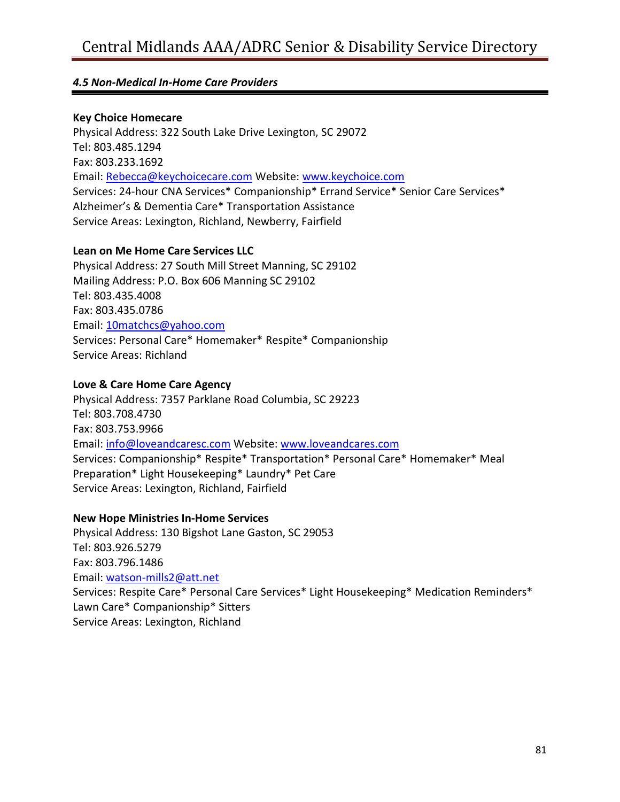#### **Key Choice Homecare**

Physical Address: 322 South Lake Drive Lexington, SC 29072 Tel: 803.485.1294 Fax: 803.233.1692 Email: [Rebecca@keychoicecare.com](mailto:Rebecca@keychoicecare.com) Website: [www.keychoice.com](http://www.keychoice.com/) Services: 24-hour CNA Services\* Companionship\* Errand Service\* Senior Care Services\* Alzheimer's & Dementia Care\* Transportation Assistance Service Areas: Lexington, Richland, Newberry, Fairfield

#### **Lean on Me Home Care Services LLC**

Physical Address: 27 South Mill Street Manning, SC 29102 Mailing Address: P.O. Box 606 Manning SC 29102 Tel: 803.435.4008 Fax: 803.435.0786 Email: [10matchcs@yahoo.com](mailto:10matchcs@yahoo.com) Services: Personal Care\* Homemaker\* Respite\* Companionship Service Areas: Richland

#### **Love & Care Home Care Agency**

Physical Address: 7357 Parklane Road Columbia, SC 29223 Tel: 803.708.4730 Fax: 803.753.9966 Email: [info@loveandcaresc.com](mailto:info@loveandcaresc.com) Website: [www.loveandcares.com](http://www.loveandcares.com/) Services: Companionship\* Respite\* Transportation\* Personal Care\* Homemaker\* Meal Preparation\* Light Housekeeping\* Laundry\* Pet Care Service Areas: Lexington, Richland, Fairfield

#### **New Hope Ministries In-Home Services**

Physical Address: 130 Bigshot Lane Gaston, SC 29053 Tel: 803.926.5279 Fax: 803.796.1486 Email: [watson-mills2@att.net](mailto:watson-mills2@att.net) Services: Respite Care\* Personal Care Services\* Light Housekeeping\* Medication Reminders\* Lawn Care\* Companionship\* Sitters Service Areas: Lexington, Richland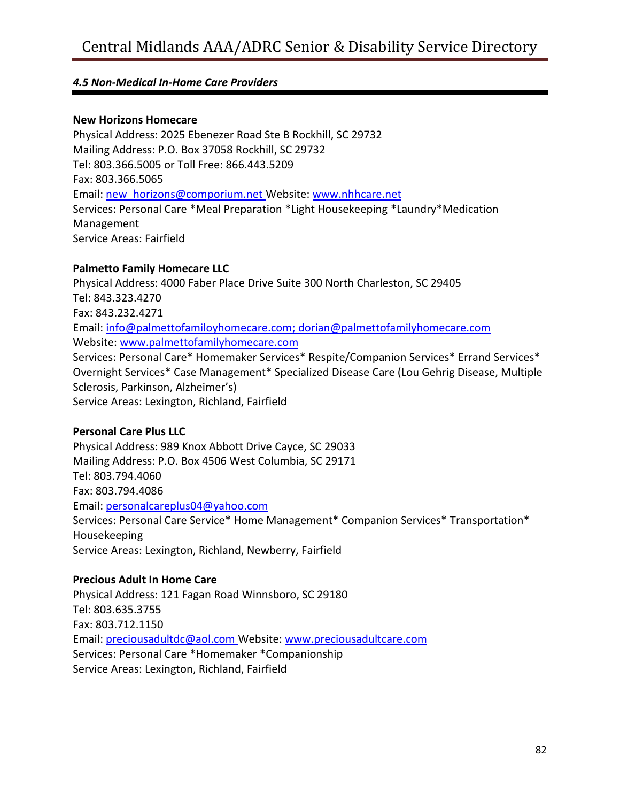#### **New Horizons Homecare**

Physical Address: 2025 Ebenezer Road Ste B Rockhill, SC 29732 Mailing Address: P.O. Box 37058 Rockhill, SC 29732 Tel: 803.366.5005 or Toll Free: 866.443.5209 Fax: 803.366.5065 Email: [new\\_horizons@comporium.net](mailto:new_horizons@comporium.net) Website: [www.nhhcare.net](http://www.nhhcare.net/) Services: Personal Care \*Meal Preparation \*Light Housekeeping \*Laundry\*Medication Management Service Areas: Fairfield

#### **Palmetto Family Homecare LLC**

Physical Address: 4000 Faber Place Drive Suite 300 North Charleston, SC 29405 Tel: 843.323.4270 Fax: 843.232.4271 Email: [info@palmettofamiloyhomecare.com;](mailto:info@palmettofamiloyhomecare.com) [dorian@palmettofamilyhomecare.com](mailto:dorian@palmettofamilyhomecare.com) Website: [www.palmettofamilyhomecare.com](http://www.palmettofamilyhomecare.com/) Services: Personal Care\* Homemaker Services\* Respite/Companion Services\* Errand Services\* Overnight Services\* Case Management\* Specialized Disease Care (Lou Gehrig Disease, Multiple Sclerosis, Parkinson, Alzheimer's) Service Areas: Lexington, Richland, Fairfield

#### **Personal Care Plus LLC**

Physical Address: 989 Knox Abbott Drive Cayce, SC 29033 Mailing Address: P.O. Box 4506 West Columbia, SC 29171 Tel: 803.794.4060 Fax: 803.794.4086 Email: [personalcareplus04@yahoo.com](mailto:personalcareplus04@yahoo.com) Services: Personal Care Service\* Home Management\* Companion Services\* Transportation\* Housekeeping Service Areas: Lexington, Richland, Newberry, Fairfield

#### **Precious Adult In Home Care**

Physical Address: 121 Fagan Road Winnsboro, SC 29180 Tel: 803.635.3755 Fax: 803.712.1150 Email: [preciousadultdc@aol.com](mailto:preciousadultdc@aol.com) Website: [www.preciousadultcare.com](http://www.preciousadultcare.com/) Services: Personal Care \*Homemaker \*Companionship Service Areas: Lexington, Richland, Fairfield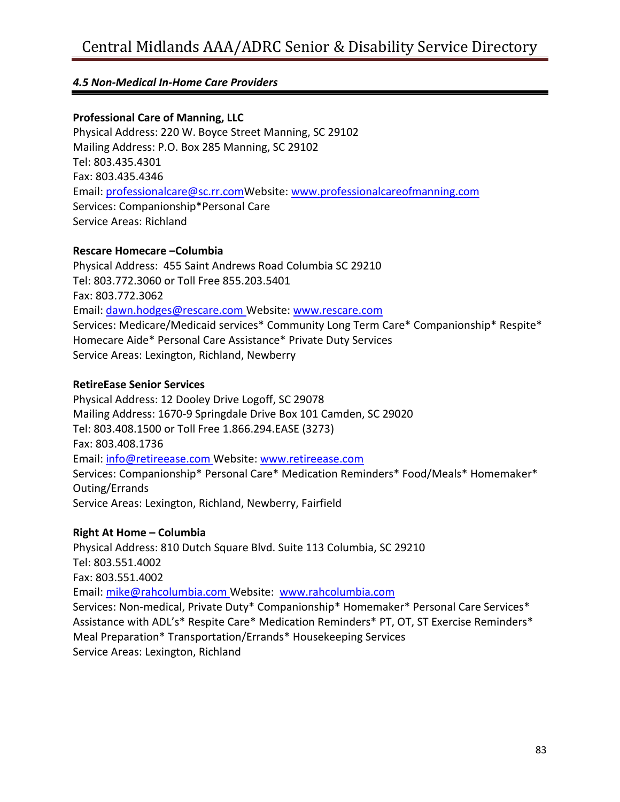#### **Professional Care of Manning, LLC**

Physical Address: 220 W. Boyce Street Manning, SC 29102 Mailing Address: P.O. Box 285 Manning, SC 29102 Tel: 803.435.4301 Fax: 803.435.4346 Email: [professionalcare@sc.rr.comW](mailto:professionalcare@sc.rr.com)ebsite: [www.professionalcareofmanning.com](http://www.professionalcareofmanning.com/) Services: Companionship\*Personal Care Service Areas: Richland

#### **Rescare Homecare –Columbia**

Physical Address: 455 Saint Andrews Road Columbia SC 29210 Tel: 803.772.3060 or Toll Free 855.203.5401 Fax: 803.772.3062 Email: [dawn.hodges@rescare.com](mailto:dawn.hodges@rescare.com) Website: [www.rescare.com](http://www.rescare.com/) Services: Medicare/Medicaid services\* Community Long Term Care\* Companionship\* Respite\* Homecare Aide\* Personal Care Assistance\* Private Duty Services Service Areas: Lexington, Richland, Newberry

#### **RetireEase Senior Services**

Physical Address: 12 Dooley Drive Logoff, SC 29078 Mailing Address: 1670-9 Springdale Drive Box 101 Camden, SC 29020 Tel: 803.408.1500 or Toll Free 1.866.294.EASE (3273) Fax: 803.408.1736 Email: [info@retireease.com](mailto:info@retireease.com) Website: [www.retireease.com](http://www.retireease.com/) Services: Companionship\* Personal Care\* Medication Reminders\* Food/Meals\* Homemaker\* Outing/Errands Service Areas: Lexington, Richland, Newberry, Fairfield

#### **Right At Home – Columbia**

Physical Address: 810 Dutch Square Blvd. Suite 113 Columbia, SC 29210 Tel: 803.551.4002 Fax: 803.551.4002 Email: [mike@rahcolumbia.com](mailto:mike@rahcolumbia.com) Website: [www.rahcolumbia.com](http://www.rahcolumbia.com/) Services: Non-medical, Private Duty\* Companionship\* Homemaker\* Personal Care Services\* Assistance with ADL's\* Respite Care\* Medication Reminders\* PT, OT, ST Exercise Reminders\* Meal Preparation\* Transportation/Errands\* Housekeeping Services Service Areas: Lexington, Richland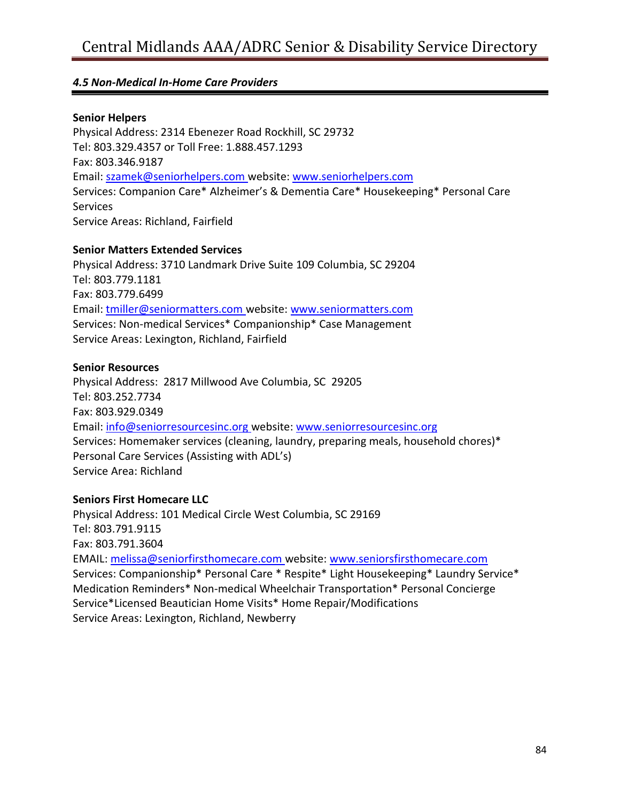#### **Senior Helpers**

Physical Address: 2314 Ebenezer Road Rockhill, SC 29732 Tel: 803.329.4357 or Toll Free: 1.888.457.1293 Fax: 803.346.9187 Email: [szamek@seniorhelpers.com](mailto:szamek@seniorhelpers.com) website: [www.seniorhelpers.com](http://www.seniorhelpers.com/) Services: Companion Care\* Alzheimer's & Dementia Care\* Housekeeping\* Personal Care Services Service Areas: Richland, Fairfield

#### **Senior Matters Extended Services**

Physical Address: 3710 Landmark Drive Suite 109 Columbia, SC 29204 Tel: 803.779.1181 Fax: 803.779.6499 Email: [tmiller@seniormatters.com](mailto:tmiller@seniormatters.com) website: [www.seniormatters.com](http://www.seniormatters.com/) Services: Non-medical Services\* Companionship\* Case Management Service Areas: Lexington, Richland, Fairfield

#### **Senior Resources**

Physical Address: 2817 Millwood Ave Columbia, SC 29205 Tel: 803.252.7734 Fax: 803.929.0349 Email: [info@seniorresourcesinc.org](mailto:info@seniorresourcesinc.org) website: [www.seniorresourcesinc.org](http://www.seniorresourcesinc.org/) Services: Homemaker services (cleaning, laundry, preparing meals, household chores)\* Personal Care Services (Assisting with ADL's) Service Area: Richland

#### **Seniors First Homecare LLC**

Physical Address: 101 Medical Circle West Columbia, SC 29169 Tel: 803.791.9115 Fax: 803.791.3604 EMAIL: [melissa@seniorfirsthomecare.com](mailto:melissa@seniorfirsthomecare.com) website: [www.seniorsfirsthomecare.com](http://www.seniorsfirsthomecare.com/) Services: Companionship\* Personal Care \* Respite\* Light Housekeeping\* Laundry Service\* Medication Reminders\* Non-medical Wheelchair Transportation\* Personal Concierge Service\*Licensed Beautician Home Visits\* Home Repair/Modifications Service Areas: Lexington, Richland, Newberry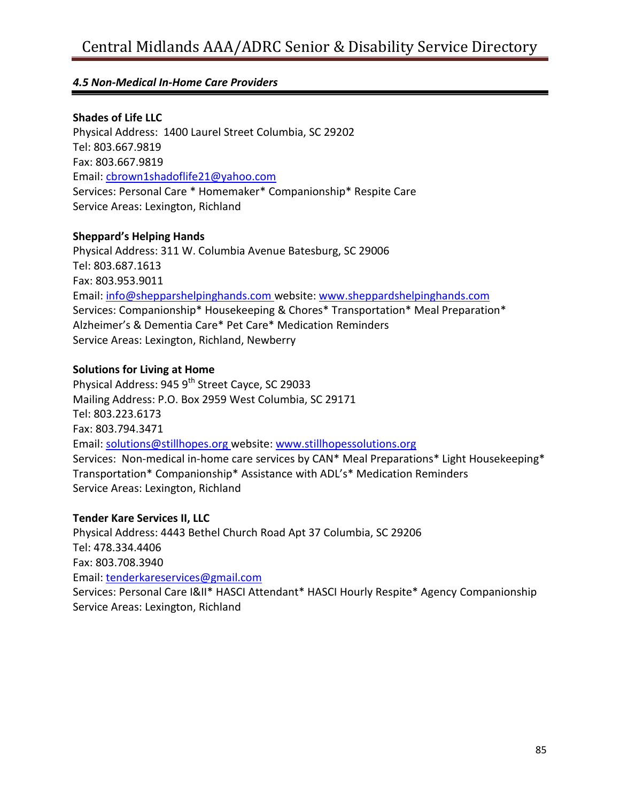#### **Shades of Life LLC**

Physical Address: 1400 Laurel Street Columbia, SC 29202 Tel: 803.667.9819 Fax: 803.667.9819 Email: [cbrown1shadoflife21@yahoo.com](mailto:cbrown1shadoflife21@yahoo.com) Services: Personal Care \* Homemaker\* Companionship\* Respite Care Service Areas: Lexington, Richland

#### **Sheppard's Helping Hands**

Physical Address: 311 W. Columbia Avenue Batesburg, SC 29006 Tel: 803.687.1613 Fax: 803.953.9011 Email: [info@shepparshelpinghands.com](mailto:info@shepparshelpinghands.com) website: [www.sheppardshelpinghands.com](http://www.sheppardshelpinghands.com/) Services: Companionship\* Housekeeping & Chores\* Transportation\* Meal Preparation\* Alzheimer's & Dementia Care\* Pet Care\* Medication Reminders Service Areas: Lexington, Richland, Newberry

#### **Solutions for Living at Home**

Physical Address: 945 9<sup>th</sup> Street Cayce, SC 29033 Mailing Address: P.O. Box 2959 West Columbia, SC 29171 Tel: 803.223.6173 Fax: 803.794.3471 Email: [solutions@stillhopes.org](mailto:solutions@stillhopes.org) website: [www.stillhopessolutions.org](http://www.stillhopessolutions.org/) Services: Non-medical in-home care services by CAN\* Meal Preparations\* Light Housekeeping\* Transportation\* Companionship\* Assistance with ADL's\* Medication Reminders Service Areas: Lexington, Richland

#### **Tender Kare Services II, LLC**

Physical Address: 4443 Bethel Church Road Apt 37 Columbia, SC 29206 Tel: 478.334.4406 Fax: 803.708.3940 Email: [tenderkareservices@gmail.com](mailto:tenderkareservices@gmail.com) Services: Personal Care I&II\* HASCI Attendant\* HASCI Hourly Respite\* Agency Companionship Service Areas: Lexington, Richland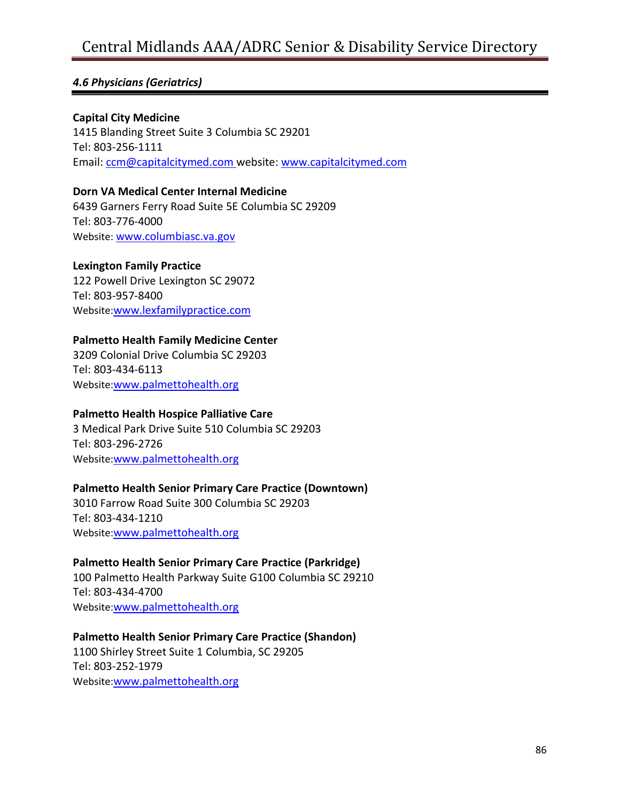#### *4.6 Physicians (Geriatrics)*

#### **Capital City Medicine**

1415 Blanding Street Suite 3 Columbia SC 29201 Tel: 803-256-1111 Email: [ccm@capitalcitymed.com](mailto:ccm@capitalcitymed.com) website: [www.capitalcitymed.com](http://www.capitalcitymed.com/)

**Dorn VA Medical Center Internal Medicine** 6439 Garners Ferry Road Suite 5E Columbia SC 29209 Tel: 803-776-4000 Website: [www.columbiasc.va.gov](http://www.columbiasc.va.gov/)

#### **Lexington Family Practice**

122 Powell Drive Lexington SC 29072 Tel: 803-957-8400 Website:[www.lexfamilypractice.com](http://www.lexfamilypractice.com/)

#### **Palmetto Health Family Medicine Center**

3209 Colonial Drive Columbia SC 29203 Tel: 803-434-6113 Website:[www.palmettohealth.org](http://www.palmettohealth.org/)

#### **Palmetto Health Hospice Palliative Care**

3 Medical Park Drive Suite 510 Columbia SC 29203 Tel: 803-296-2726 Website:[www.palmettohealth.org](http://www.palmettohealth.org/)

#### **Palmetto Health Senior Primary Care Practice (Downtown)**

3010 Farrow Road Suite 300 Columbia SC 29203 Tel: 803-434-1210 Website:[www.palmettohealth.org](http://www.palmettohealth.org/)

**Palmetto Health Senior Primary Care Practice (Parkridge)**

100 Palmetto Health Parkway Suite G100 Columbia SC 29210 Tel: 803-434-4700 Website:[www.palmettohealth.org](http://www.palmettohealth.org/)

#### **Palmetto Health Senior Primary Care Practice (Shandon)**

1100 Shirley Street Suite 1 Columbia, SC 29205 Tel: 803-252-1979 Website:[www.palmettohealth.org](http://www.palmettohealth.org/)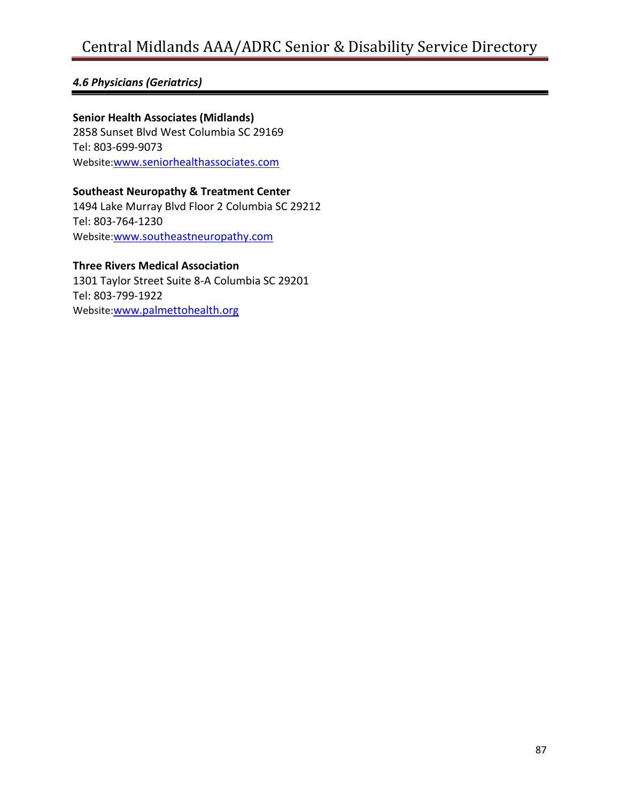### *4.6 Physicians (Geriatrics)*

**Senior Health Associates (Midlands)** 2858 Sunset Blvd West Columbia SC 29169 Tel: 803-699-9073 Website:[www.seniorhealthassociates.com](http://www.seniorhealthassociates.com/)

**Southeast Neuropathy & Treatment Center** 1494 Lake Murray Blvd Floor 2 Columbia SC 29212 Tel: 803-764-1230 Website:[www.southeastneuropathy.com](http://www.southeastneuropathy.com/)

#### **Three Rivers Medical Association**

1301 Taylor Street Suite 8-A Columbia SC 29201 Tel: 803-799-1922 Website:[www.palmettohealth.org](http://www.palmettohealth.org/)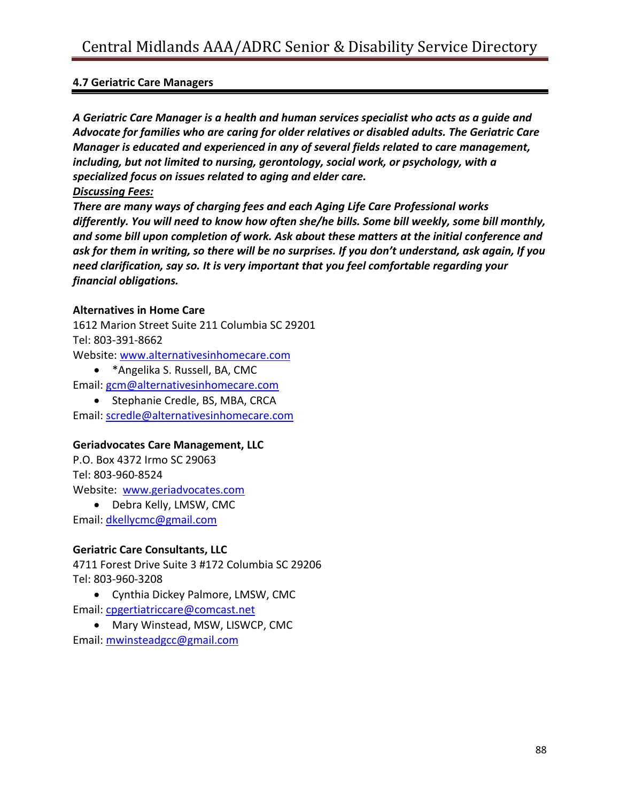#### **4.7 Geriatric Care Managers**

*A Geriatric Care Manager is a health and human services specialist who acts as a guide and Advocate for families who are caring for older relatives or disabled adults. The Geriatric Care Manager is educated and experienced in any of several fields related to care management, including, but not limited to nursing, gerontology, social work, or psychology, with a specialized focus on issues related to aging and elder care.*

#### *Discussing Fees:*

*There are many ways of charging fees and each Aging Life Care Professional works differently. You will need to know how often she/he bills. Some bill weekly, some bill monthly, and some bill upon completion of work. Ask about these matters at the initial conference and ask for them in writing, so there will be no surprises. If you don't understand, ask again, If you need clarification, say so. It is very important that you feel comfortable regarding your financial obligations.*

#### **Alternatives in Home Care**

1612 Marion Street Suite 211 Columbia SC 29201 Tel: 803-391-8662 Website: [www.alternativesinhomecare.com](http://www.alternativesinhomecare.com/)

\*Angelika S. Russell, BA, CMC

Email: [gcm@alternativesinhomecare.com](mailto:gcm@alternativesinhomecare.com)

• Stephanie Credle, BS, MBA, CRCA

Email: [scredle@alternativesinhomecare.com](mailto:scredle@alternativesinhomecare.com)

#### **Geriadvocates Care Management, LLC**

P.O. Box 4372 Irmo SC 29063 Tel: 803-960-8524 Website: [www.geriadvocates.com](http://www.geriadvocates.com/)

• Debra Kelly, LMSW, CMC

Email: [dkellycmc@gmail.com](mailto:dkellycmc@gmail.com)

#### **Geriatric Care Consultants, LLC**

4711 Forest Drive Suite 3 #172 Columbia SC 29206 Tel: 803-960-3208

 Cynthia Dickey Palmore, LMSW, CMC Email: [cpgertiatriccare@comcast.net](mailto:cpgertiatriccare@comcast.net)

 Mary Winstead, MSW, LISWCP, CMC Email: [mwinsteadgcc@gmail.com](mailto:mwinsteadgcc@gmail.com)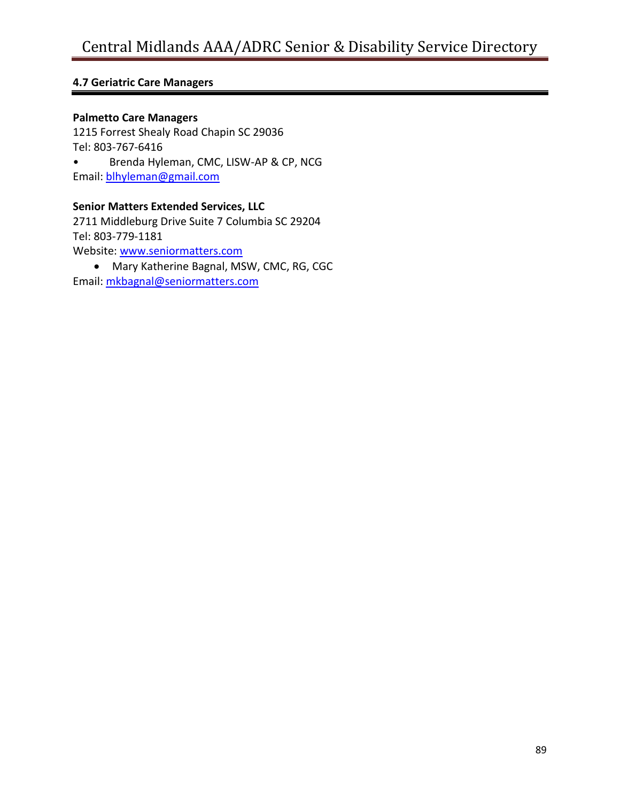#### **4.7 Geriatric Care Managers**

#### **Palmetto Care Managers**

1215 Forrest Shealy Road Chapin SC 29036 Tel: 803-767-6416 • Brenda Hyleman, CMC, LISW-AP & CP, NCG Email: [blhyleman@gmail.com](mailto:blhyleman@gmail.com)

#### **Senior Matters Extended Services, LLC**

2711 Middleburg Drive Suite 7 Columbia SC 29204 Tel: 803-779-1181 Website: [www.seniormatters.com](http://www.seniormatters.com/) Mary Katherine Bagnal, MSW, CMC, RG, CGC

Email: [mkbagnal@seniormatters.com](mailto:mkbagnal@seniormatters.com)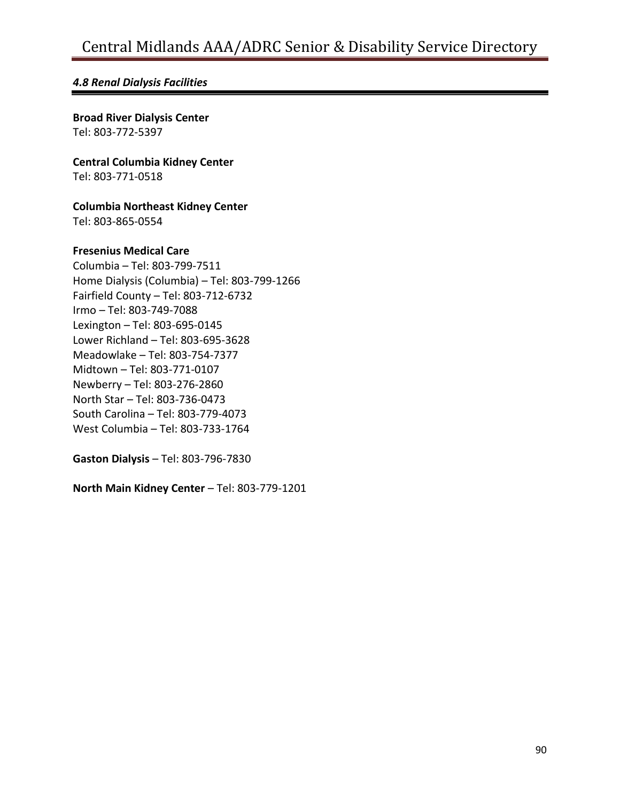#### *4.8 Renal Dialysis Facilities*

**Broad River Dialysis Center** Tel: 803-772-5397

**Central Columbia Kidney Center** Tel: 803-771-0518

**Columbia Northeast Kidney Center**

Tel: 803-865-0554

#### **Fresenius Medical Care**

Columbia – Tel: 803-799-7511 Home Dialysis (Columbia) – Tel: 803-799-1266 Fairfield County – Tel: 803-712-6732 Irmo – Tel: 803-749-7088 Lexington – Tel: 803-695-0145 Lower Richland – Tel: 803-695-3628 Meadowlake – Tel: 803-754-7377 Midtown – Tel: 803-771-0107 Newberry – Tel: 803-276-2860 North Star – Tel: 803-736-0473 South Carolina – Tel: 803-779-4073 West Columbia – Tel: 803-733-1764

**Gaston Dialysis** – Tel: 803-796-7830

**North Main Kidney Center** – Tel: 803-779-1201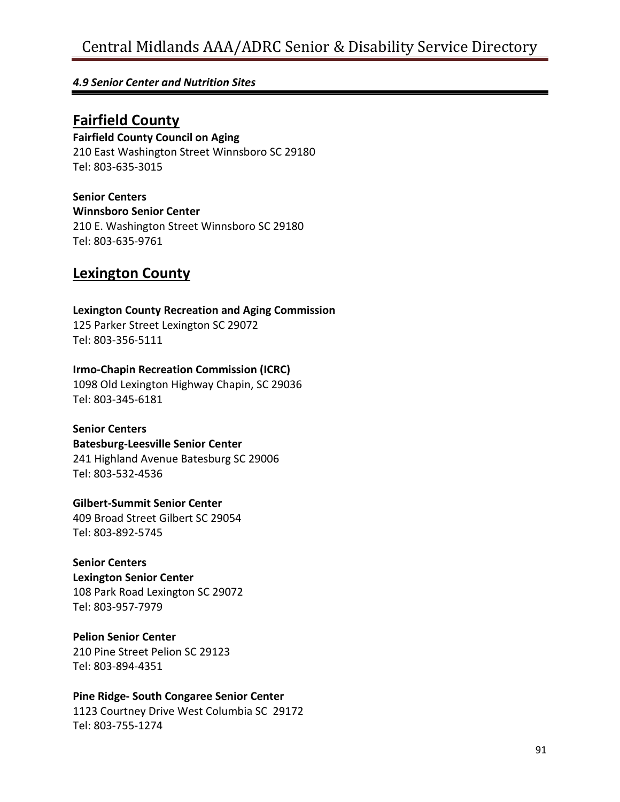#### *4.9 Senior Center and Nutrition Sites*

## **Fairfield County**

#### **Fairfield County Council on Aging**

210 East Washington Street Winnsboro SC 29180 Tel: 803-635-3015

#### **Senior Centers**

**Winnsboro Senior Center**

210 E. Washington Street Winnsboro SC 29180 Tel: 803-635-9761

## **Lexington County**

### **Lexington County Recreation and Aging Commission**

125 Parker Street Lexington SC 29072 Tel: 803-356-5111

#### **Irmo-Chapin Recreation Commission (ICRC)**

1098 Old Lexington Highway Chapin, SC 29036 Tel: 803-345-6181

#### **Senior Centers**

#### **Batesburg-Leesville Senior Center**

241 Highland Avenue Batesburg SC 29006 Tel: 803-532-4536

#### **Gilbert-Summit Senior Center**

409 Broad Street Gilbert SC 29054 Tel: 803-892-5745

#### **Senior Centers**

## **Lexington Senior Center**

108 Park Road Lexington SC 29072 Tel: 803-957-7979

#### **Pelion Senior Center**

210 Pine Street Pelion SC 29123 Tel: 803-894-4351

#### **Pine Ridge- South Congaree Senior Center**

1123 Courtney Drive West Columbia SC 29172 Tel: 803-755-1274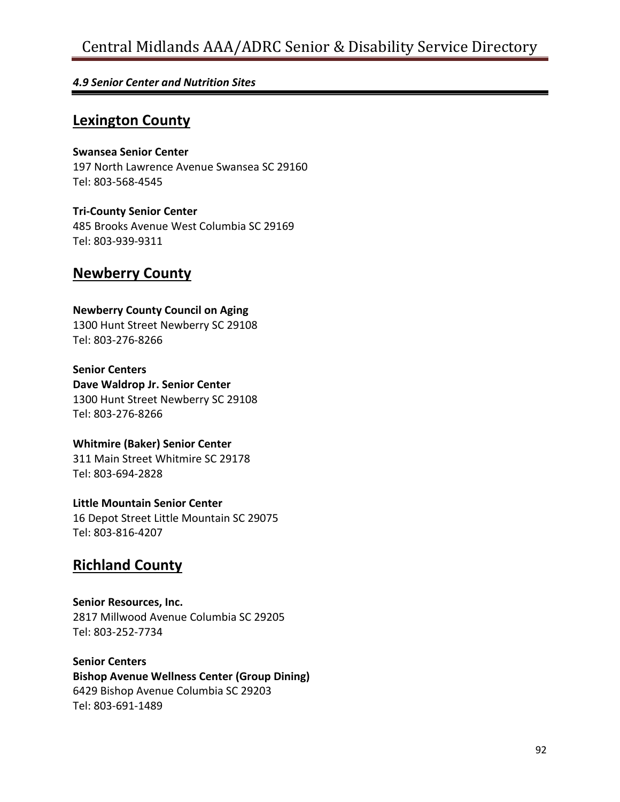#### *4.9 Senior Center and Nutrition Sites*

## **Lexington County**

**Swansea Senior Center** 197 North Lawrence Avenue Swansea SC 29160 Tel: 803-568-4545

**Tri-County Senior Center** 485 Brooks Avenue West Columbia SC 29169 Tel: 803-939-9311

## **Newberry County**

#### **Newberry County Council on Aging**

1300 Hunt Street Newberry SC 29108 Tel: 803-276-8266

**Senior Centers Dave Waldrop Jr. Senior Center** 1300 Hunt Street Newberry SC 29108 Tel: 803-276-8266

**Whitmire (Baker) Senior Center** 311 Main Street Whitmire SC 29178 Tel: 803-694-2828

**Little Mountain Senior Center** 16 Depot Street Little Mountain SC 29075 Tel: 803-816-4207

## **Richland County**

**Senior Resources, Inc.** 2817 Millwood Avenue Columbia SC 29205 Tel: 803-252-7734

**Senior Centers**

**Bishop Avenue Wellness Center (Group Dining)** 6429 Bishop Avenue Columbia SC 29203 Tel: 803-691-1489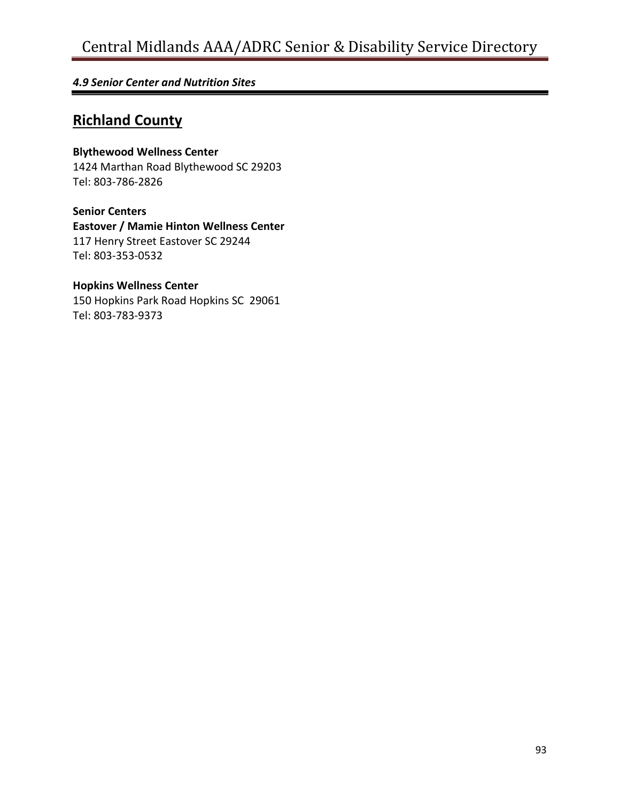#### *4.9 Senior Center and Nutrition Sites*

## **Richland County**

#### **Blythewood Wellness Center**

1424 Marthan Road Blythewood SC 29203 Tel: 803-786-2826

**Senior Centers Eastover / Mamie Hinton Wellness Center** 117 Henry Street Eastover SC 29244 Tel: 803-353-0532

#### **Hopkins Wellness Center**

150 Hopkins Park Road Hopkins SC 29061 Tel: 803-783-9373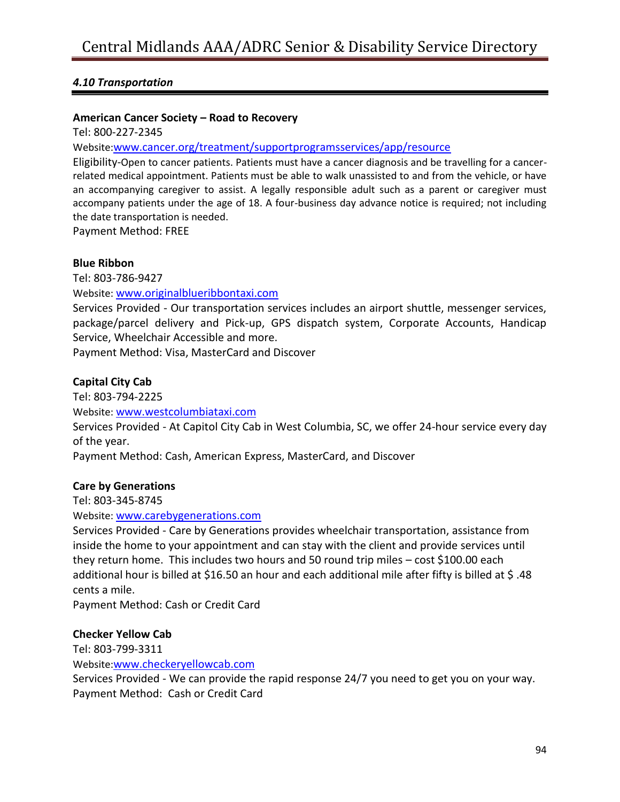#### **American Cancer Society – Road to Recovery**

Tel: 800-227-2345

Website:[www.cancer.org/treatment/supportprogramsservices/app/resource](http://www.cancer.org/treatment/supportprogramsservices/app/resource)

Eligibility-Open to cancer patients. Patients must have a cancer diagnosis and be travelling for a cancerrelated medical appointment. Patients must be able to walk unassisted to and from the vehicle, or have an accompanying caregiver to assist. A legally responsible adult such as a parent or caregiver must accompany patients under the age of 18. A four-business day advance notice is required; not including the date transportation is needed.

Payment Method: FREE

#### **Blue Ribbon**

Tel: 803-786-9427

Website: [www.originalblueribbontaxi.com](http://www.originalblueribbontaxi.com/)

Services Provided - Our transportation services includes an airport shuttle, messenger services, package/parcel delivery and Pick-up, GPS dispatch system, Corporate Accounts, Handicap Service, Wheelchair Accessible and more.

Payment Method: Visa, MasterCard and Discover

#### **Capital City Cab**

Tel: 803-794-2225 Website: [www.westcolumbiataxi.com](http://www.westcolumbiataxi.com/) Services Provided - At Capitol City Cab in West Columbia, SC, we offer 24-hour service every day of the year. Payment Method: Cash, American Express, MasterCard, and Discover

#### **Care by Generations**

Tel: 803-345-8745

Website: [www.carebygenerations.com](http://www.carebygenerations.com/)

Services Provided - Care by Generations provides wheelchair transportation, assistance from inside the home to your appointment and can stay with the client and provide services until they return home. This includes two hours and 50 round trip miles – cost \$100.00 each additional hour is billed at \$16.50 an hour and each additional mile after fifty is billed at \$ .48 cents a mile.

Payment Method: Cash or Credit Card

#### **Checker Yellow Cab**

Tel: 803-799-3311 Website:[www.checkeryellowcab.com](http://www.checkeryellowcab.com/)

Services Provided - We can provide the rapid response 24/7 you need to get you on your way. Payment Method: Cash or Credit Card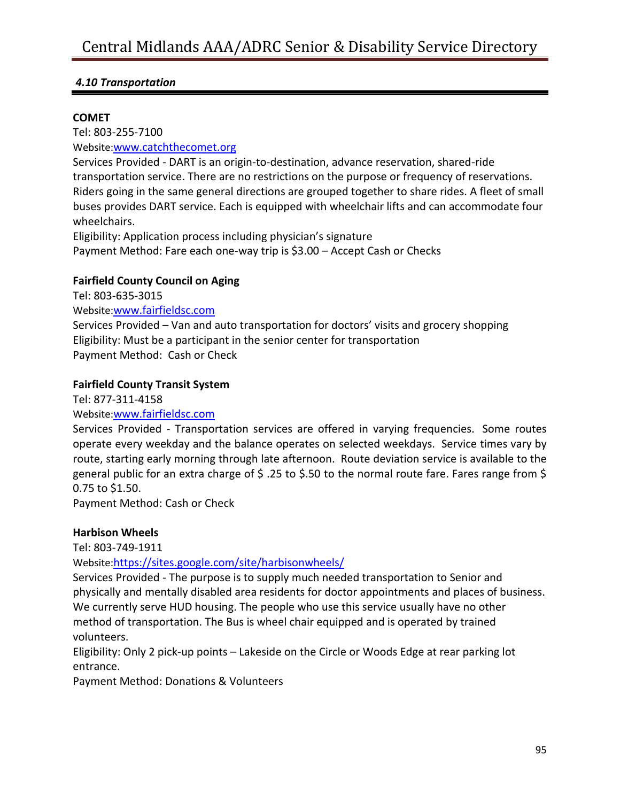#### **COMET**

Tel: 803-255-7100 Website:[www.catchthecomet.org](http://www.catchthecomet.org/) Services Provided - DART is an origin-to-destination, advance reservation, shared-ride transportation service. There are no restrictions on the purpose or frequency of reservations. Riders going in the same general directions are grouped together to share rides. A fleet of small

buses provides DART service. Each is equipped with wheelchair lifts and can accommodate four wheelchairs.

Eligibility: Application process including physician's signature Payment Method: Fare each one-way trip is \$3.00 – Accept Cash or Checks

#### **Fairfield County Council on Aging**

Tel: 803-635-3015 Website:[www.fairfieldsc.com](http://www.fairfieldsc.com/) Services Provided – Van and auto transportation for doctors' visits and grocery shopping Eligibility: Must be a participant in the senior center for transportation Payment Method: Cash or Check

#### **Fairfield County Transit System**

Tel: 877-311-4158

#### Website:[www.fairfieldsc.com](http://www.fairfieldsc.com/)

Services Provided - Transportation services are offered in varying frequencies. Some routes operate every weekday and the balance operates on selected weekdays. Service times vary by route, starting early morning through late afternoon. Route deviation service is available to the general public for an extra charge of \$ .25 to \$.50 to the normal route fare. Fares range from \$ 0.75 to \$1.50.

Payment Method: Cash or Check

#### **Harbison Wheels**

Tel: 803-749-1911

Website:<https://sites.google.com/site/harbisonwheels/>

Services Provided - The purpose is to supply much needed transportation to Senior and physically and mentally disabled area residents for doctor appointments and places of business. We currently serve HUD housing. The people who use this service usually have no other method of transportation. The Bus is wheel chair equipped and is operated by trained volunteers.

Eligibility: Only 2 pick-up points – Lakeside on the Circle or Woods Edge at rear parking lot entrance.

Payment Method: Donations & Volunteers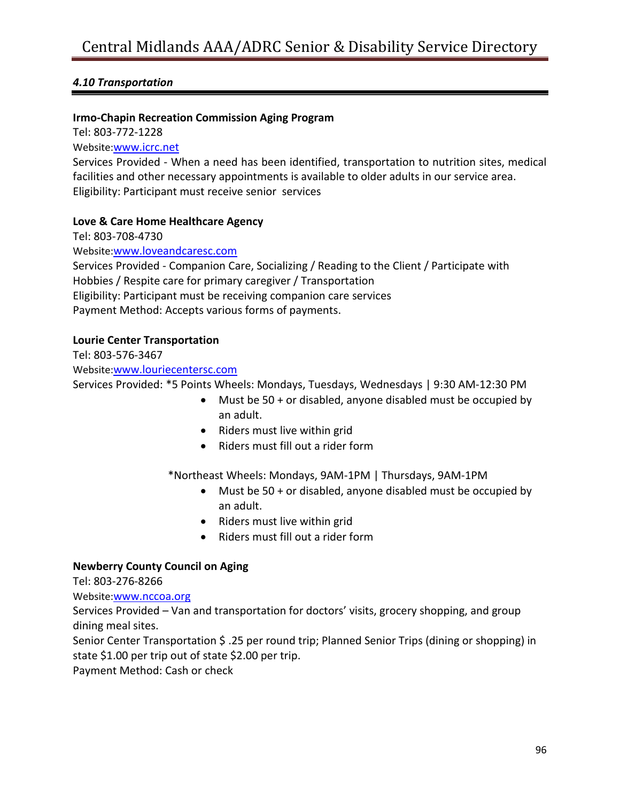#### **Irmo-Chapin Recreation Commission Aging Program**

Tel: 803-772-1228

Website:[www.icrc.net](http://www.icrc.net/)

Services Provided - When a need has been identified, transportation to nutrition sites, medical facilities and other necessary appointments is available to older adults in our service area. Eligibility: Participant must receive senior services

#### **Love & Care Home Healthcare Agency**

Tel: 803-708-4730

Website:[www.loveandcaresc.com](http://www.loveandcaresc.com/)

Services Provided - Companion Care, Socializing / Reading to the Client / Participate with Hobbies / Respite care for primary caregiver / Transportation Eligibility: Participant must be receiving companion care services Payment Method: Accepts various forms of payments.

#### **Lourie Center Transportation**

Tel: 803-576-3467

Website:[www.louriecentersc.com](http://www.louriecentersc.com/)

Services Provided: \*5 Points Wheels: Mondays, Tuesdays, Wednesdays | 9:30 AM-12:30 PM

- Must be 50 + or disabled, anyone disabled must be occupied by an adult.
- Riders must live within grid
- Riders must fill out a rider form

\*Northeast Wheels: Mondays, 9AM-1PM | Thursdays, 9AM-1PM

- Must be 50 + or disabled, anyone disabled must be occupied by an adult.
- Riders must live within grid
- Riders must fill out a rider form

#### **Newberry County Council on Aging**

Tel: 803-276-8266

Website:[www.nccoa.org](http://www.nccoa.org/)

Services Provided – Van and transportation for doctors' visits, grocery shopping, and group dining meal sites.

Senior Center Transportation \$ .25 per round trip; Planned Senior Trips (dining or shopping) in state \$1.00 per trip out of state \$2.00 per trip.

Payment Method: Cash or check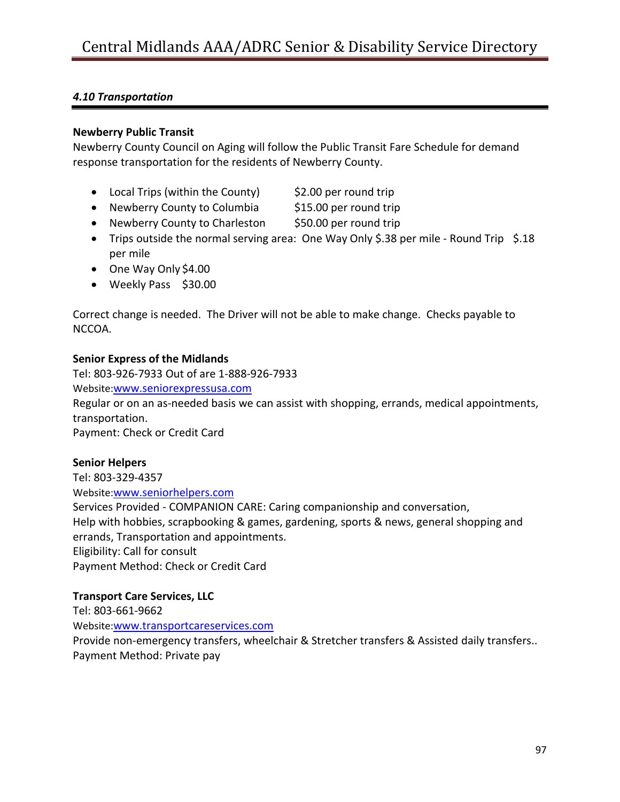#### **Newberry Public Transit**

Newberry County Council on Aging will follow the Public Transit Fare Schedule for demand response transportation for the residents of Newberry County.

- Local Trips (within the County)  $\frac{1}{2}$ .00 per round trip
- Newberry County to Columbia \$15.00 per round trip
- Newberry County to Charleston \$50.00 per round trip
- Trips outside the normal serving area: One Way Only \$.38 per mile Round Trip \$.18 per mile
- One Way Only \$4.00
- Weekly Pass \$30.00

Correct change is needed. The Driver will not be able to make change. Checks payable to NCCOA.

#### **Senior Express of the Midlands**

Tel: 803-926-7933 Out of are 1-888-926-7933 Website:[www.seniorexpressusa.com](http://www.seniorexpressusa.com/) Regular or on an as-needed basis we can assist with shopping, errands, medical appointments, transportation. Payment: Check or Credit Card

#### **Senior Helpers**

Tel: 803-329-4357 Website:[www.seniorhelpers.com](http://www.seniorhelpers.com/) Services Provided - COMPANION CARE: Caring companionship and conversation, Help with hobbies, scrapbooking & games, gardening, sports & news, general shopping and errands, Transportation and appointments. Eligibility: Call for consult Payment Method: Check or Credit Card

#### **Transport Care Services, LLC**

Tel: 803-661-9662 Website:[www.transportcareservices.com](http://www.transportcareservices.com/) Provide non-emergency transfers, wheelchair & Stretcher transfers & Assisted daily transfers.. Payment Method: Private pay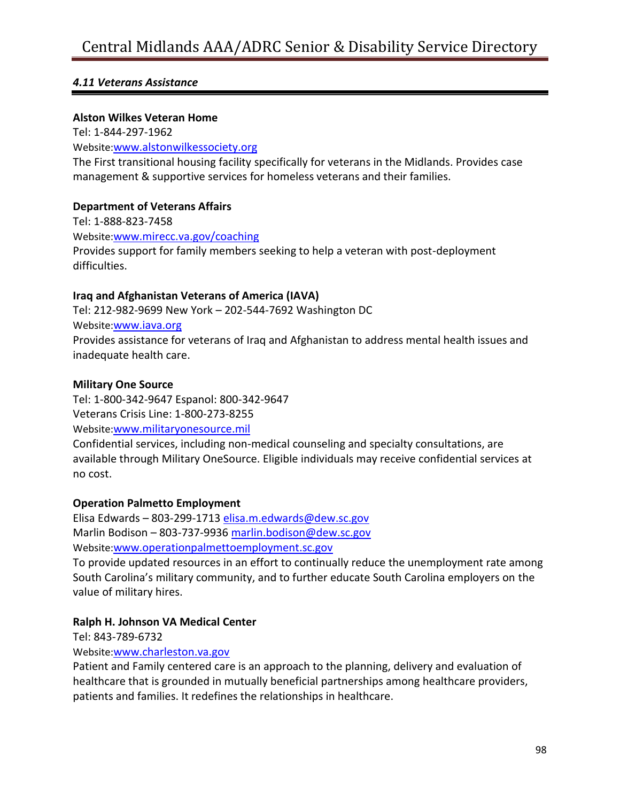#### *4.11 Veterans Assistance*

#### **Alston Wilkes Veteran Home**

Tel: 1-844-297-1962 Website:[www.alstonwilkessociety.org](http://www.alstonwilkessociety.org/) The First transitional housing facility specifically for veterans in the Midlands. Provides case management & supportive services for homeless veterans and their families.

#### **Department of Veterans Affairs**

Tel: 1-888-823-7458 Website:[www.mirecc.va.gov/coaching](http://www.mirecc.va.gov/coaching) Provides support for family members seeking to help a veteran with post-deployment difficulties.

#### **Iraq and Afghanistan Veterans of America (IAVA)**

Tel: 212-982-9699 New York – 202-544-7692 Washington DC Website:[www.iava.org](http://www.iava.org/) Provides assistance for veterans of Iraq and Afghanistan to address mental health issues and inadequate health care.

#### **Military One Source**

Tel: 1-800-342-9647 Espanol: 800-342-9647 Veterans Crisis Line: 1-800-273-8255 Website:[www.militaryonesource.mil](http://www.militaryonesource.mil/)

Confidential services, including [non-medical](http://militaryonesource.mil/confidential-help/non-medical-counseling?content_id=282875) counseling and specialty [consultations,](http://militaryonesource.mil/confidential-help/specialty-consultation?content_id=282329) are available through Military OneSource. Eligible individuals may receive confidential services at no cost.

#### **Operation Palmetto Employment**

Elisa Edwards – 803-299-1713 [elisa.m.edwards@dew.sc.gov](mailto:elisa.m.edwards@dew.sc.gov) Marlin Bodison – 803-737-9936 [marlin.bodison@dew.sc.gov](mailto:marlin.bodison@dew.sc.gov) Website:[www.operationpalmettoemployment.sc.gov](http://www.operationpalmettoemployment.sc.gov/)

To provide updated resources in an effort to continually reduce the unemployment rate among South Carolina's military community, and to further educate South Carolina employers on the value of military hires.

#### **Ralph H. Johnson VA Medical Center**

Tel: 843-789-6732

#### Website:[www.charleston.va.gov](http://www.charleston.va.gov/)

Patient and Family centered care is an approach to the planning, delivery and evaluation of healthcare that is grounded in mutually beneficial partnerships among healthcare providers, patients and families. It redefines the relationships in healthcare.